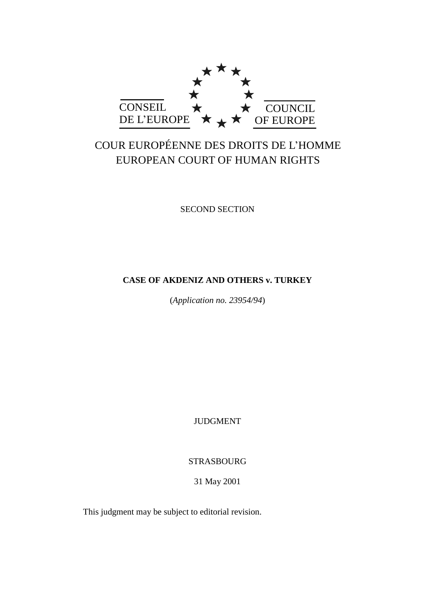

# COUR EUROPÉENNE DES DROITS DE L'HOMME EUROPEAN COURT OF HUMAN RIGHTS

SECOND SECTION

# **CASE OF AKDENIZ AND OTHERS v. TURKEY**

(*Application no. 23954/94*)

JUDGMENT

# STRASBOURG

## 31 May 2001

This judgment may be subject to editorial revision.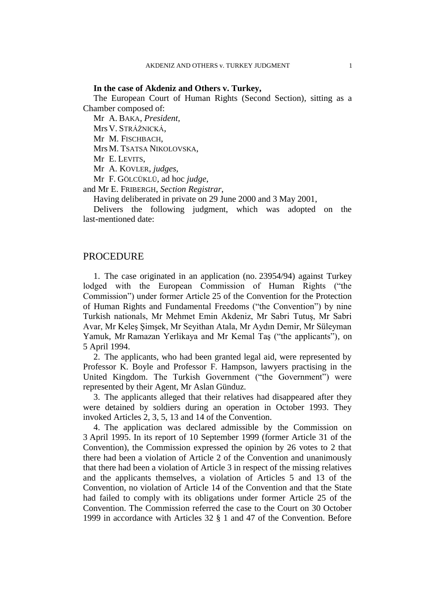#### **In the case of Akdeniz and Others v. Turkey,**

The European Court of Human Rights (Second Section), sitting as a Chamber composed of:

Mr A. BAKA, *President,*

MrsV. STRÁŽNICKÁ,

Mr M. FISCHBACH,

MrsM. TSATSA NIKOLOVSKA,

Mr E. LEVITS,

Mr A. KOVLER, *judges*,

Mr F. GÖLCÜKLÜ, ad hoc *judge*,

and Mr E. FRIBERGH, *Section Registrar*,

Having deliberated in private on 29 June 2000 and 3 May 2001,

Delivers the following judgment, which was adopted on the last-mentioned date:

### PROCEDURE

1. The case originated in an application (no. 23954/94) against Turkey lodged with the European Commission of Human Rights ("the Commission") under former Article 25 of the Convention for the Protection of Human Rights and Fundamental Freedoms ("the Convention") by nine Turkish nationals, Mr Mehmet Emin Akdeniz, Mr Sabri Tutuş, Mr Sabri Avar, Mr Keleş Şimşek, Mr Seyithan Atala, Mr Aydın Demir, Mr Süleyman Yamuk, Mr Ramazan Yerlikaya and Mr Kemal Taş ("the applicants"), on 5 April 1994.

2. The applicants, who had been granted legal aid, were represented by Professor K. Boyle and Professor F. Hampson, lawyers practising in the United Kingdom. The Turkish Government ("the Government") were represented by their Agent, Mr Aslan Günduz.

3. The applicants alleged that their relatives had disappeared after they were detained by soldiers during an operation in October 1993. They invoked Articles 2, 3, 5, 13 and 14 of the Convention.

4. The application was declared admissible by the Commission on 3 April 1995. In its report of 10 September 1999 (former Article 31 of the Convention), the Commission expressed the opinion by 26 votes to 2 that there had been a violation of Article 2 of the Convention and unanimously that there had been a violation of Article 3 in respect of the missing relatives and the applicants themselves, a violation of Articles 5 and 13 of the Convention, no violation of Article 14 of the Convention and that the State had failed to comply with its obligations under former Article 25 of the Convention. The Commission referred the case to the Court on 30 October 1999 in accordance with Articles 32 § 1 and 47 of the Convention. Before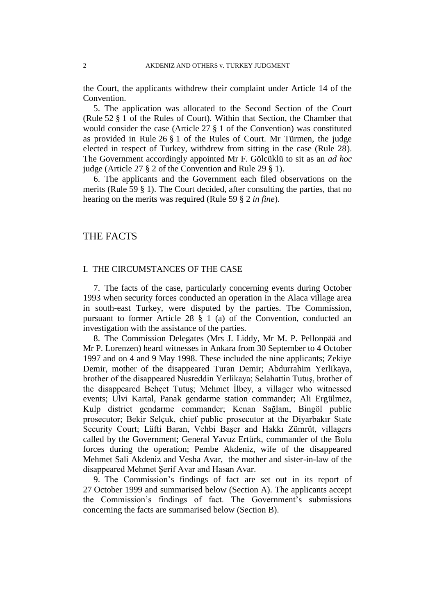the Court, the applicants withdrew their complaint under Article 14 of the Convention.

5. The application was allocated to the Second Section of the Court (Rule 52 § 1 of the Rules of Court). Within that Section, the Chamber that would consider the case (Article 27 § 1 of the Convention) was constituted as provided in Rule 26 § 1 of the Rules of Court. Mr Türmen, the judge elected in respect of Turkey, withdrew from sitting in the case (Rule 28). The Government accordingly appointed Mr F. Gölcüklü to sit as an *ad hoc* judge (Article 27 § 2 of the Convention and Rule 29 § 1).

6. The applicants and the Government each filed observations on the merits (Rule 59 § 1). The Court decided, after consulting the parties, that no hearing on the merits was required (Rule 59 § 2 *in fine*).

### THE FACTS

### I. THE CIRCUMSTANCES OF THE CASE

7. The facts of the case, particularly concerning events during October 1993 when security forces conducted an operation in the Alaca village area in south-east Turkey, were disputed by the parties. The Commission, pursuant to former Article 28 § 1 (a) of the Convention, conducted an investigation with the assistance of the parties.

8. The Commission Delegates (Mrs J. Liddy, Mr M. P. Pellonpää and Mr P. Lorenzen) heard witnesses in Ankara from 30 September to 4 October 1997 and on 4 and 9 May 1998. These included the nine applicants; Zekiye Demir, mother of the disappeared Turan Demir; Abdurrahim Yerlikaya, brother of the disappeared Nusreddin Yerlikaya; Selahattin Tutuş, brother of the disappeared Behçet Tutuş; Mehmet İlbey, a villager who witnessed events; Ulvi Kartal, Panak gendarme station commander; Ali Ergülmez, Kulp district gendarme commander; Kenan Sağlam, Bingöl public prosecutor; Bekir Selçuk, chief public prosecutor at the Diyarbakır State Security Court; Lüfti Baran, Vehbi Başer and Hakkı Zümrüt, villagers called by the Government; General Yavuz Ertürk, commander of the Bolu forces during the operation; Pembe Akdeniz, wife of the disappeared Mehmet Sali Akdeniz and Vesha Avar, the mother and sister-in-law of the disappeared Mehmet Şerif Avar and Hasan Avar.

9. The Commission's findings of fact are set out in its report of 27 October 1999 and summarised below (Section A). The applicants accept the Commission's findings of fact. The Government's submissions concerning the facts are summarised below (Section B).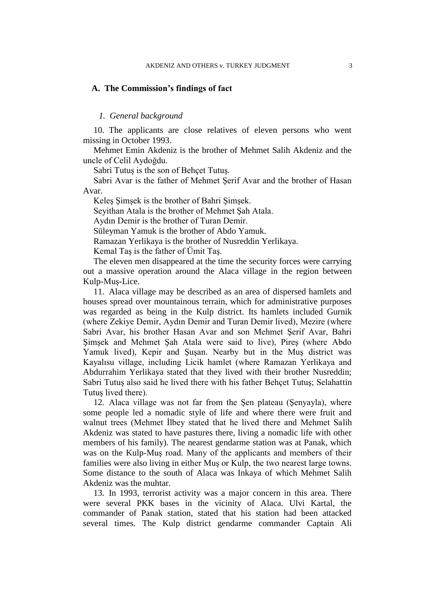#### **A. The Commission's findings of fact**

### *1. General background*

10. The applicants are close relatives of eleven persons who went missing in October 1993.

Mehmet Emin Akdeniz is the brother of Mehmet Salih Akdeniz and the uncle of Celil Aydoğdu.

Sabri Tutuş is the son of Behçet Tutuş.

Sabri Avar is the father of Mehmet Şerif Avar and the brother of Hasan Avar.

Keleş Şimşek is the brother of Bahri Şimşek.

Seyithan Atala is the brother of Mehmet Şah Atala.

Aydın Demir is the brother of Turan Demir.

Süleyman Yamuk is the brother of Abdo Yamuk.

Ramazan Yerlikaya is the brother of Nusreddin Yerlikaya.

Kemal Taş is the father of Ümit Taş.

The eleven men disappeared at the time the security forces were carrying out a massive operation around the Alaca village in the region between Kulp-Muş-Lice.

11. Alaca village may be described as an area of dispersed hamlets and houses spread over mountainous terrain, which for administrative purposes was regarded as being in the Kulp district. Its hamlets included Gurnik (where Zekiye Demir, Aydın Demir and Turan Demir lived), Mezire (where Sabri Avar, his brother Hasan Avar and son Mehmet Şerif Avar, Bahri Şimşek and Mehmet Şah Atala were said to live), Pireş (where Abdo Yamuk lived), Kepir and Şuşan. Nearby but in the Muş district was Kayalısu village, including Licik hamlet (where Ramazan Yerlikaya and Abdurrahim Yerlikaya stated that they lived with their brother Nusreddin; Sabri Tutuş also said he lived there with his father Behçet Tutuş; Selahattin Tutuş lived there).

12. Alaca village was not far from the Şen plateau (Şenyayla), where some people led a nomadic style of life and where there were fruit and walnut trees (Mehmet İlbey stated that he lived there and Mehmet Salih Akdeniz was stated to have pastures there, living a nomadic life with other members of his family). The nearest gendarme station was at Panak, which was on the Kulp-Muş road. Many of the applicants and members of their families were also living in either Muş or Kulp, the two nearest large towns. Some distance to the south of Alaca was Inkaya of which Mehmet Salih Akdeniz was the muhtar.

13. In 1993, terrorist activity was a major concern in this area. There were several PKK bases in the vicinity of Alaca. Ulvi Kartal, the commander of Panak station, stated that his station had been attacked several times. The Kulp district gendarme commander Captain Ali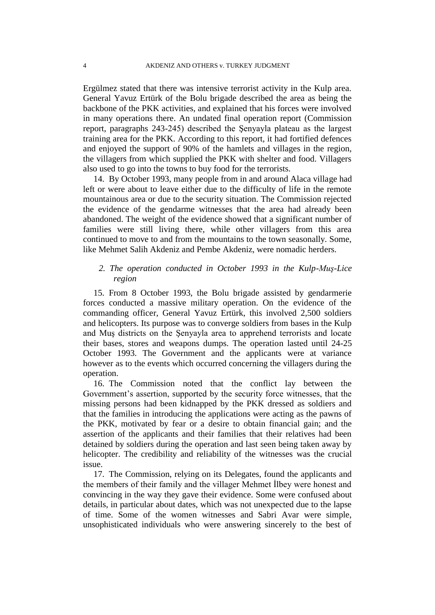Ergülmez stated that there was intensive terrorist activity in the Kulp area. General Yavuz Ertürk of the Bolu brigade described the area as being the backbone of the PKK activities, and explained that his forces were involved in many operations there. An undated final operation report (Commission report, paragraphs 243-245) described the Şenyayla plateau as the largest training area for the PKK. According to this report, it had fortified defences and enjoyed the support of 90% of the hamlets and villages in the region, the villagers from which supplied the PKK with shelter and food. Villagers also used to go into the towns to buy food for the terrorists.

14. By October 1993, many people from in and around Alaca village had left or were about to leave either due to the difficulty of life in the remote mountainous area or due to the security situation. The Commission rejected the evidence of the gendarme witnesses that the area had already been abandoned. The weight of the evidence showed that a significant number of families were still living there, while other villagers from this area continued to move to and from the mountains to the town seasonally. Some, like Mehmet Salih Akdeniz and Pembe Akdeniz, were nomadic herders.

### *2. The operation conducted in October 1993 in the Kulp-Muş-Lice region*

15. From 8 October 1993, the Bolu brigade assisted by gendarmerie forces conducted a massive military operation. On the evidence of the commanding officer, General Yavuz Ertürk, this involved 2,500 soldiers and helicopters. Its purpose was to converge soldiers from bases in the Kulp and Muş districts on the Şenyayla area to apprehend terrorists and locate their bases, stores and weapons dumps. The operation lasted until 24-25 October 1993. The Government and the applicants were at variance however as to the events which occurred concerning the villagers during the operation.

16. The Commission noted that the conflict lay between the Government's assertion, supported by the security force witnesses, that the missing persons had been kidnapped by the PKK dressed as soldiers and that the families in introducing the applications were acting as the pawns of the PKK, motivated by fear or a desire to obtain financial gain; and the assertion of the applicants and their families that their relatives had been detained by soldiers during the operation and last seen being taken away by helicopter. The credibility and reliability of the witnesses was the crucial issue.

17. The Commission, relying on its Delegates, found the applicants and the members of their family and the villager Mehmet İlbey were honest and convincing in the way they gave their evidence. Some were confused about details, in particular about dates, which was not unexpected due to the lapse of time. Some of the women witnesses and Sabri Avar were simple, unsophisticated individuals who were answering sincerely to the best of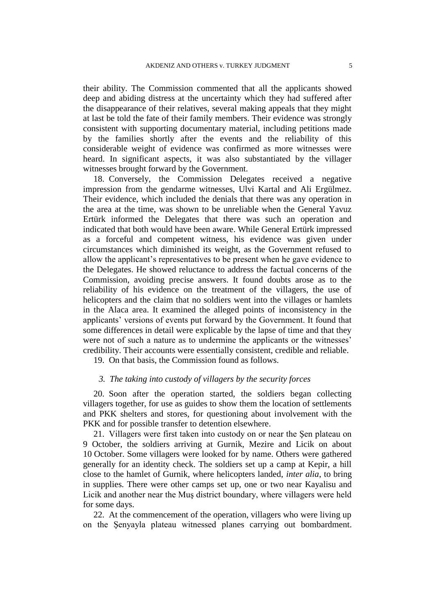their ability. The Commission commented that all the applicants showed deep and abiding distress at the uncertainty which they had suffered after the disappearance of their relatives, several making appeals that they might at last be told the fate of their family members. Their evidence was strongly consistent with supporting documentary material, including petitions made by the families shortly after the events and the reliability of this considerable weight of evidence was confirmed as more witnesses were heard. In significant aspects, it was also substantiated by the villager witnesses brought forward by the Government.

18. Conversely, the Commission Delegates received a negative impression from the gendarme witnesses, Ulvi Kartal and Ali Ergülmez. Their evidence, which included the denials that there was any operation in the area at the time, was shown to be unreliable when the General Yavuz Ertürk informed the Delegates that there was such an operation and indicated that both would have been aware. While General Ertürk impressed as a forceful and competent witness, his evidence was given under circumstances which diminished its weight, as the Government refused to allow the applicant's representatives to be present when he gave evidence to the Delegates. He showed reluctance to address the factual concerns of the Commission, avoiding precise answers. It found doubts arose as to the reliability of his evidence on the treatment of the villagers, the use of helicopters and the claim that no soldiers went into the villages or hamlets in the Alaca area. It examined the alleged points of inconsistency in the applicants' versions of events put forward by the Government. It found that some differences in detail were explicable by the lapse of time and that they were not of such a nature as to undermine the applicants or the witnesses' credibility. Their accounts were essentially consistent, credible and reliable.

19. On that basis, the Commission found as follows.

#### *3. The taking into custody of villagers by the security forces*

20. Soon after the operation started, the soldiers began collecting villagers together, for use as guides to show them the location of settlements and PKK shelters and stores, for questioning about involvement with the PKK and for possible transfer to detention elsewhere.

21. Villagers were first taken into custody on or near the Şen plateau on 9 October, the soldiers arriving at Gurnik, Mezire and Licik on about 10 October. Some villagers were looked for by name. Others were gathered generally for an identity check. The soldiers set up a camp at Kepir, a hill close to the hamlet of Gurnik, where helicopters landed, *inter alia*, to bring in supplies. There were other camps set up, one or two near Kayalisu and Licik and another near the Muş district boundary, where villagers were held for some days.

22. At the commencement of the operation, villagers who were living up on the Şenyayla plateau witnessed planes carrying out bombardment.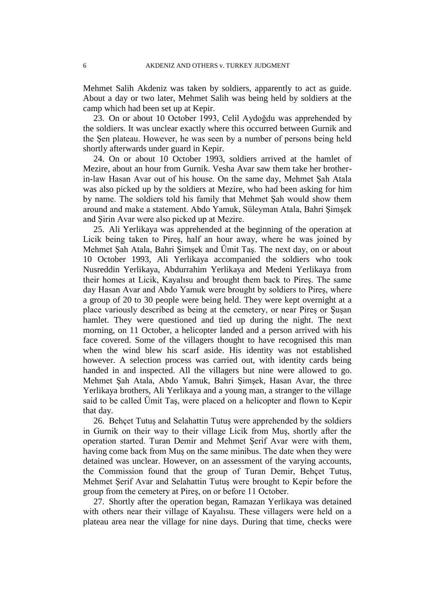Mehmet Salih Akdeniz was taken by soldiers, apparently to act as guide. About a day or two later, Mehmet Salih was being held by soldiers at the camp which had been set up at Kepir.

23. On or about 10 October 1993, Celil Aydoğdu was apprehended by the soldiers. It was unclear exactly where this occurred between Gurnik and the Şen plateau. However, he was seen by a number of persons being held shortly afterwards under guard in Kepir.

24. On or about 10 October 1993, soldiers arrived at the hamlet of Mezire, about an hour from Gurnik. Vesha Avar saw them take her brotherin-law Hasan Avar out of his house. On the same day, Mehmet Şah Atala was also picked up by the soldiers at Mezire, who had been asking for him by name. The soldiers told his family that Mehmet Şah would show them around and make a statement. Abdo Yamuk, Süleyman Atala, Bahri Şimşek and Şirin Avar were also picked up at Mezire.

25. Ali Yerlikaya was apprehended at the beginning of the operation at Licik being taken to Pireş, half an hour away, where he was joined by Mehmet Şah Atala, Bahri Şimşek and Ümit Taş. The next day, on or about 10 October 1993, Ali Yerlikaya accompanied the soldiers who took Nusreddin Yerlikaya, Abdurrahim Yerlikaya and Medeni Yerlikaya from their homes at Licik, Kayalısu and brought them back to Pireş. The same day Hasan Avar and Abdo Yamuk were brought by soldiers to Pireş, where a group of 20 to 30 people were being held. They were kept overnight at a place variously described as being at the cemetery, or near Pireş or Şuşan hamlet. They were questioned and tied up during the night. The next morning, on 11 October, a helicopter landed and a person arrived with his face covered. Some of the villagers thought to have recognised this man when the wind blew his scarf aside. His identity was not established however. A selection process was carried out, with identity cards being handed in and inspected. All the villagers but nine were allowed to go. Mehmet Şah Atala, Abdo Yamuk, Bahri Şimşek, Hasan Avar, the three Yerlikaya brothers, Ali Yerlikaya and a young man, a stranger to the village said to be called Ümit Taş, were placed on a helicopter and flown to Kepir that day.

26. Behçet Tutuş and Selahattin Tutuş were apprehended by the soldiers in Gurnik on their way to their village Licik from Muş, shortly after the operation started. Turan Demir and Mehmet Şerif Avar were with them, having come back from Muş on the same minibus. The date when they were detained was unclear. However, on an assessment of the varying accounts, the Commission found that the group of Turan Demir, Behçet Tutuş, Mehmet Şerif Avar and Selahattin Tutuş were brought to Kepir before the group from the cemetery at Pireş, on or before 11 October.

27. Shortly after the operation began, Ramazan Yerlikaya was detained with others near their village of Kayalısu. These villagers were held on a plateau area near the village for nine days. During that time, checks were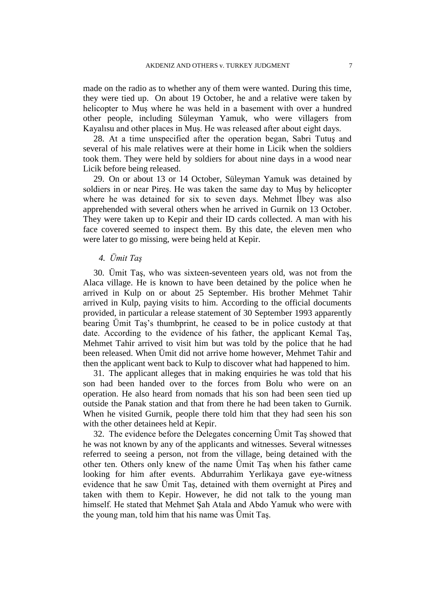made on the radio as to whether any of them were wanted. During this time, they were tied up. On about 19 October, he and a relative were taken by helicopter to Muş where he was held in a basement with over a hundred other people, including Süleyman Yamuk, who were villagers from Kayalısu and other places in Muş. He was released after about eight days.

28. At a time unspecified after the operation began, Sabri Tutuş and several of his male relatives were at their home in Licik when the soldiers took them. They were held by soldiers for about nine days in a wood near Licik before being released.

29. On or about 13 or 14 October, Süleyman Yamuk was detained by soldiers in or near Pireş. He was taken the same day to Muş by helicopter where he was detained for six to seven days. Mehmet İlbey was also apprehended with several others when he arrived in Gurnik on 13 October. They were taken up to Kepir and their ID cards collected. A man with his face covered seemed to inspect them. By this date, the eleven men who were later to go missing, were being held at Kepir.

#### *4. Ümit Taş*

30. Ümit Taş, who was sixteen-seventeen years old, was not from the Alaca village. He is known to have been detained by the police when he arrived in Kulp on or about 25 September. His brother Mehmet Tahir arrived in Kulp, paying visits to him. According to the official documents provided, in particular a release statement of 30 September 1993 apparently bearing Ümit Taş's thumbprint, he ceased to be in police custody at that date. According to the evidence of his father, the applicant Kemal Taş, Mehmet Tahir arrived to visit him but was told by the police that he had been released. When Ümit did not arrive home however, Mehmet Tahir and then the applicant went back to Kulp to discover what had happened to him.

31. The applicant alleges that in making enquiries he was told that his son had been handed over to the forces from Bolu who were on an operation. He also heard from nomads that his son had been seen tied up outside the Panak station and that from there he had been taken to Gurnik. When he visited Gurnik, people there told him that they had seen his son with the other detainees held at Kepir.

32. The evidence before the Delegates concerning Ümit Taş showed that he was not known by any of the applicants and witnesses. Several witnesses referred to seeing a person, not from the village, being detained with the other ten. Others only knew of the name Ümit Taş when his father came looking for him after events. Abdurrahim Yerlikaya gave eye-witness evidence that he saw Ümit Taş, detained with them overnight at Pireş and taken with them to Kepir. However, he did not talk to the young man himself. He stated that Mehmet Şah Atala and Abdo Yamuk who were with the young man, told him that his name was Ümit Taş.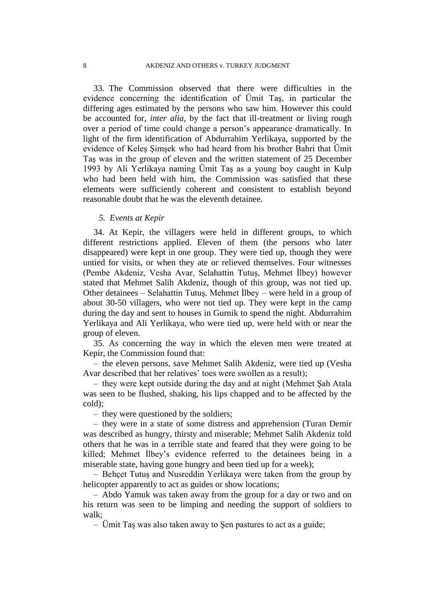33. The Commission observed that there were difficulties in the evidence concerning the identification of Ümit Taş, in particular the differing ages estimated by the persons who saw him. However this could be accounted for, *inter alia*, by the fact that ill-treatment or living rough over a period of time could change a person's appearance dramatically. In light of the firm identification of Abdurrahim Yerlikaya, supported by the evidence of Keleş Şimşek who had heard from his brother Bahri that Ümit Taş was in the group of eleven and the written statement of 25 December 1993 by Ali Yerlikaya naming Ümit Taş as a young boy caught in Kulp who had been held with him, the Commission was satisfied that these elements were sufficiently coherent and consistent to establish beyond reasonable doubt that he was the eleventh detainee.

#### *5. Events at Kepir*

34. At Kepir, the villagers were held in different groups, to which different restrictions applied. Eleven of them (the persons who later disappeared) were kept in one group. They were tied up, though they were untied for visits, or when they ate or relieved themselves. Four witnesses (Pembe Akdeniz, Vesha Avar, Selahattin Tutuş, Mehmet İlbey) however stated that Mehmet Salih Akdeniz, though of this group, was not tied up. Other detainees – Selahattin Tutuş, Mehmet İlbey – were held in a group of about 30-50 villagers, who were not tied up. They were kept in the camp during the day and sent to houses in Gurnik to spend the night. Abdurrahim Yerlikaya and Ali Yerlikaya, who were tied up, were held with or near the group of eleven.

35. As concerning the way in which the eleven men were treated at Kepir, the Commission found that:

– the eleven persons, save Mehmet Salih Akdeniz, were tied up (Vesha Avar described that her relatives' toes were swollen as a result);

– they were kept outside during the day and at night (Mehmet Şah Atala was seen to be flushed, shaking, his lips chapped and to be affected by the cold);

– they were questioned by the soldiers;

– they were in a state of some distress and apprehension (Turan Demir was described as hungry, thirsty and miserable; Mehmet Salih Akdeniz told others that he was in a terrible state and feared that they were going to be killed; Mehmet İlbey's evidence referred to the detainees being in a miserable state, having gone hungry and been tied up for a week);

– Behçet Tutuş and Nusreddin Yerlikaya were taken from the group by helicopter apparently to act as guides or show locations;

– Abdo Yamuk was taken away from the group for a day or two and on his return was seen to be limping and needing the support of soldiers to walk;

– Ümit Taş was also taken away to Şen pastures to act as a guide;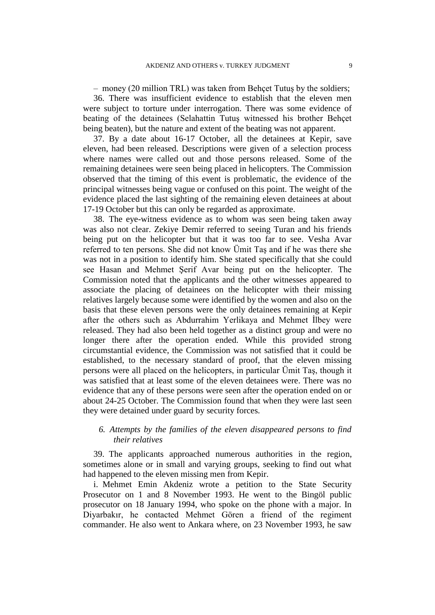– money (20 million TRL) was taken from Behçet Tutuş by the soldiers;

36. There was insufficient evidence to establish that the eleven men were subject to torture under interrogation. There was some evidence of beating of the detainees (Selahattin Tutuş witnessed his brother Behçet being beaten), but the nature and extent of the beating was not apparent.

37. By a date about 16-17 October, all the detainees at Kepir, save eleven, had been released. Descriptions were given of a selection process where names were called out and those persons released. Some of the remaining detainees were seen being placed in helicopters. The Commission observed that the timing of this event is problematic, the evidence of the principal witnesses being vague or confused on this point. The weight of the evidence placed the last sighting of the remaining eleven detainees at about 17-19 October but this can only be regarded as approximate.

38. The eye-witness evidence as to whom was seen being taken away was also not clear. Zekiye Demir referred to seeing Turan and his friends being put on the helicopter but that it was too far to see. Vesha Avar referred to ten persons. She did not know Ümit Taş and if he was there she was not in a position to identify him. She stated specifically that she could see Hasan and Mehmet Şerif Avar being put on the helicopter. The Commission noted that the applicants and the other witnesses appeared to associate the placing of detainees on the helicopter with their missing relatives largely because some were identified by the women and also on the basis that these eleven persons were the only detainees remaining at Kepir after the others such as Abdurrahim Yerlikaya and Mehmet İlbey were released. They had also been held together as a distinct group and were no longer there after the operation ended. While this provided strong circumstantial evidence, the Commission was not satisfied that it could be established, to the necessary standard of proof, that the eleven missing persons were all placed on the helicopters, in particular Ümit Taş, though it was satisfied that at least some of the eleven detainees were. There was no evidence that any of these persons were seen after the operation ended on or about 24-25 October. The Commission found that when they were last seen they were detained under guard by security forces.

### *6. Attempts by the families of the eleven disappeared persons to find their relatives*

39. The applicants approached numerous authorities in the region, sometimes alone or in small and varying groups, seeking to find out what had happened to the eleven missing men from Kepir.

i. Mehmet Emin Akdeniz wrote a petition to the State Security Prosecutor on 1 and 8 November 1993. He went to the Bingöl public prosecutor on 18 January 1994, who spoke on the phone with a major. In Diyarbakır, he contacted Mehmet Gören a friend of the regiment commander. He also went to Ankara where, on 23 November 1993, he saw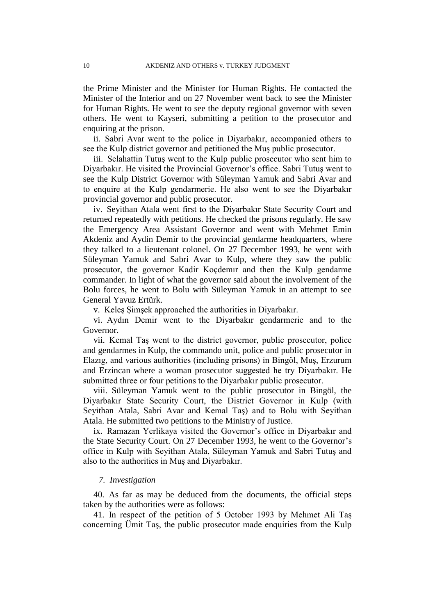the Prime Minister and the Minister for Human Rights. He contacted the Minister of the Interior and on 27 November went back to see the Minister for Human Rights. He went to see the deputy regional governor with seven others. He went to Kayseri, submitting a petition to the prosecutor and enquiring at the prison.

ii. Sabri Avar went to the police in Diyarbakır, accompanied others to see the Kulp district governor and petitioned the Muş public prosecutor.

iii. Selahattin Tutuş went to the Kulp public prosecutor who sent him to Diyarbakır. He visited the Provincial Governor's office. Sabri Tutuş went to see the Kulp District Governor with Süleyman Yamuk and Sabri Avar and to enquire at the Kulp gendarmerie. He also went to see the Diyarbakır provincial governor and public prosecutor.

iv. Seyithan Atala went first to the Diyarbakır State Security Court and returned repeatedly with petitions. He checked the prisons regularly. He saw the Emergency Area Assistant Governor and went with Mehmet Emin Akdeniz and Aydin Demir to the provincial gendarme headquarters, where they talked to a lieutenant colonel. On 27 December 1993, he went with Süleyman Yamuk and Sabri Avar to Kulp, where they saw the public prosecutor, the governor Kadir Koçdemır and then the Kulp gendarme commander. In light of what the governor said about the involvement of the Bolu forces, he went to Bolu with Süleyman Yamuk in an attempt to see General Yavuz Ertürk.

v. Keleş Şimşek approached the authorities in Diyarbakır.

vi. Aydın Demir went to the Diyarbakır gendarmerie and to the Governor.

vii. Kemal Taş went to the district governor, public prosecutor, police and gendarmes in Kulp, the commando unit, police and public prosecutor in Elazıg, and various authorities (including prisons) in Bingöl, Muş, Erzurum and Erzincan where a woman prosecutor suggested he try Diyarbakır. He submitted three or four petitions to the Diyarbakır public prosecutor.

viii. Süleyman Yamuk went to the public prosecutor in Bingöl, the Diyarbakır State Security Court, the District Governor in Kulp (with Seyithan Atala, Sabri Avar and Kemal Taş) and to Bolu with Seyithan Atala. He submitted two petitions to the Ministry of Justice.

ix. Ramazan Yerlikaya visited the Governor's office in Diyarbakır and the State Security Court. On 27 December 1993, he went to the Governor's office in Kulp with Seyithan Atala, Süleyman Yamuk and Sabri Tutuş and also to the authorities in Muş and Diyarbakır.

### *7. Investigation*

40. As far as may be deduced from the documents, the official steps taken by the authorities were as follows:

41. In respect of the petition of 5 October 1993 by Mehmet Ali Taş concerning Ümit Taş, the public prosecutor made enquiries from the Kulp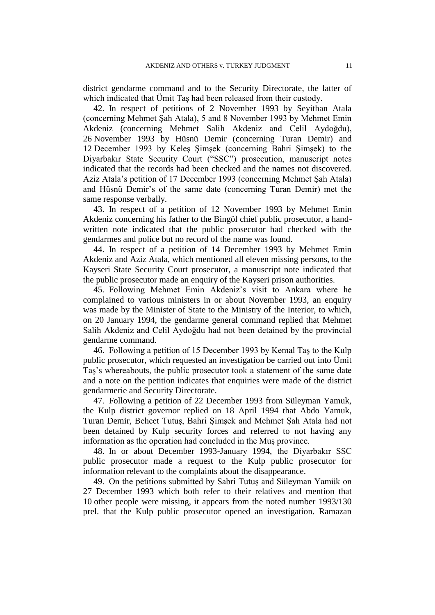district gendarme command and to the Security Directorate, the latter of which indicated that Ümit Taş had been released from their custody.

42. In respect of petitions of 2 November 1993 by Seyithan Atala (concerning Mehmet Şah Atala), 5 and 8 November 1993 by Mehmet Emin Akdeniz (concerning Mehmet Salih Akdeniz and Celil Aydoğdu), 26 November 1993 by Hüsnü Demir (concerning Turan Demir) and 12 December 1993 by Keleş Şimşek (concerning Bahri Şimşek) to the Diyarbakır State Security Court ("SSC") prosecution, manuscript notes indicated that the records had been checked and the names not discovered. Aziz Atala's petition of 17 December 1993 (concerning Mehmet Şah Atala) and Hüsnü Demir's of the same date (concerning Turan Demir) met the same response verbally.

43. In respect of a petition of 12 November 1993 by Mehmet Emin Akdeniz concerning his father to the Bingöl chief public prosecutor, a handwritten note indicated that the public prosecutor had checked with the gendarmes and police but no record of the name was found.

44. In respect of a petition of 14 December 1993 by Mehmet Emin Akdeniz and Aziz Atala, which mentioned all eleven missing persons, to the Kayseri State Security Court prosecutor, a manuscript note indicated that the public prosecutor made an enquiry of the Kayseri prison authorities.

45. Following Mehmet Emin Akdeniz's visit to Ankara where he complained to various ministers in or about November 1993, an enquiry was made by the Minister of State to the Ministry of the Interior, to which, on 20 January 1994, the gendarme general command replied that Mehmet Salih Akdeniz and Celil Aydoğdu had not been detained by the provincial gendarme command.

46. Following a petition of 15 December 1993 by Kemal Taş to the Kulp public prosecutor, which requested an investigation be carried out into Ümit Taş's whereabouts, the public prosecutor took a statement of the same date and a note on the petition indicates that enquiries were made of the district gendarmerie and Security Directorate.

47. Following a petition of 22 December 1993 from Süleyman Yamuk, the Kulp district governor replied on 18 April 1994 that Abdo Yamuk, Turan Demir, Behcet Tutuş, Bahri Şimşek and Mehmet Şah Atala had not been detained by Kulp security forces and referred to not having any information as the operation had concluded in the Muş province.

48. In or about December 1993-January 1994, the Diyarbakır SSC public prosecutor made a request to the Kulp public prosecutor for information relevant to the complaints about the disappearance.

49. On the petitions submitted by Sabri Tutuş and Süleyman Yamük on 27 December 1993 which both refer to their relatives and mention that 10 other people were missing, it appears from the noted number 1993/130 prel. that the Kulp public prosecutor opened an investigation. Ramazan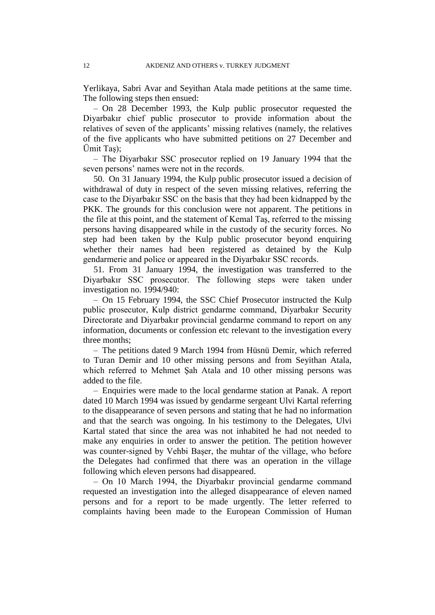Yerlikaya, Sabri Avar and Seyithan Atala made petitions at the same time. The following steps then ensued:

– On 28 December 1993, the Kulp public prosecutor requested the Diyarbakır chief public prosecutor to provide information about the relatives of seven of the applicants' missing relatives (namely, the relatives of the five applicants who have submitted petitions on 27 December and Ümit Taş);

– The Diyarbakır SSC prosecutor replied on 19 January 1994 that the seven persons' names were not in the records.

50. On 31 January 1994, the Kulp public prosecutor issued a decision of withdrawal of duty in respect of the seven missing relatives, referring the case to the Diyarbakır SSC on the basis that they had been kidnapped by the PKK. The grounds for this conclusion were not apparent. The petitions in the file at this point, and the statement of Kemal Taş, referred to the missing persons having disappeared while in the custody of the security forces. No step had been taken by the Kulp public prosecutor beyond enquiring whether their names had been registered as detained by the Kulp gendarmerie and police or appeared in the Diyarbakır SSC records.

51. From 31 January 1994, the investigation was transferred to the Diyarbakır SSC prosecutor. The following steps were taken under investigation no. 1994/940:

– On 15 February 1994, the SSC Chief Prosecutor instructed the Kulp public prosecutor, Kulp district gendarme command, Diyarbakır Security Directorate and Diyarbakır provincial gendarme command to report on any information, documents or confession etc relevant to the investigation every three months;

– The petitions dated 9 March 1994 from Hüsnü Demir, which referred to Turan Demir and 10 other missing persons and from Seyithan Atala, which referred to Mehmet Şah Atala and 10 other missing persons was added to the file.

– Enquiries were made to the local gendarme station at Panak. A report dated 10 March 1994 was issued by gendarme sergeant Ulvi Kartal referring to the disappearance of seven persons and stating that he had no information and that the search was ongoing. In his testimony to the Delegates, Ulvi Kartal stated that since the area was not inhabited he had not needed to make any enquiries in order to answer the petition. The petition however was counter-signed by Vehbi Başer, the muhtar of the village, who before the Delegates had confirmed that there was an operation in the village following which eleven persons had disappeared.

– On 10 March 1994, the Diyarbakır provincial gendarme command requested an investigation into the alleged disappearance of eleven named persons and for a report to be made urgently. The letter referred to complaints having been made to the European Commission of Human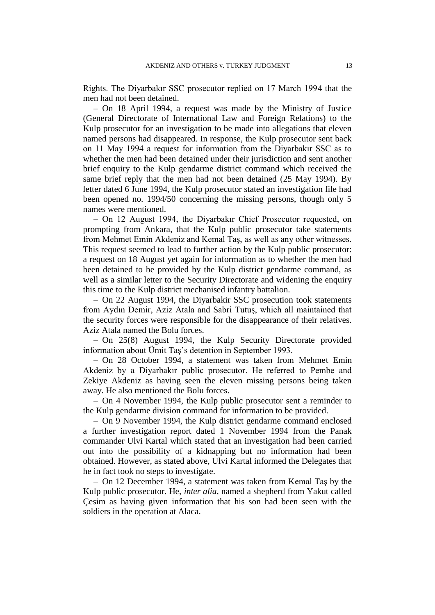Rights. The Diyarbakır SSC prosecutor replied on 17 March 1994 that the men had not been detained.

– On 18 April 1994, a request was made by the Ministry of Justice (General Directorate of International Law and Foreign Relations) to the Kulp prosecutor for an investigation to be made into allegations that eleven named persons had disappeared. In response, the Kulp prosecutor sent back on 11 May 1994 a request for information from the Diyarbakır SSC as to whether the men had been detained under their jurisdiction and sent another brief enquiry to the Kulp gendarme district command which received the same brief reply that the men had not been detained (25 May 1994). By letter dated 6 June 1994, the Kulp prosecutor stated an investigation file had been opened no. 1994/50 concerning the missing persons, though only 5 names were mentioned.

– On 12 August 1994, the Diyarbakır Chief Prosecutor requested, on prompting from Ankara, that the Kulp public prosecutor take statements from Mehmet Emin Akdeniz and Kemal Taş, as well as any other witnesses. This request seemed to lead to further action by the Kulp public prosecutor: a request on 18 August yet again for information as to whether the men had been detained to be provided by the Kulp district gendarme command, as well as a similar letter to the Security Directorate and widening the enquiry this time to the Kulp district mechanised infantry battalion.

– On 22 August 1994, the Diyarbakir SSC prosecution took statements from Aydın Demir, Aziz Atala and Sabri Tutuş, which all maintained that the security forces were responsible for the disappearance of their relatives. Aziz Atala named the Bolu forces.

– On 25(8) August 1994, the Kulp Security Directorate provided information about Ümit Taş's detention in September 1993.

– On 28 October 1994, a statement was taken from Mehmet Emin Akdeniz by a Diyarbakır public prosecutor. He referred to Pembe and Zekiye Akdeniz as having seen the eleven missing persons being taken away. He also mentioned the Bolu forces.

– On 4 November 1994, the Kulp public prosecutor sent a reminder to the Kulp gendarme division command for information to be provided.

– On 9 November 1994, the Kulp district gendarme command enclosed a further investigation report dated 1 November 1994 from the Panak commander Ulvi Kartal which stated that an investigation had been carried out into the possibility of a kidnapping but no information had been obtained. However, as stated above, Ulvi Kartal informed the Delegates that he in fact took no steps to investigate.

– On 12 December 1994, a statement was taken from Kemal Taş by the Kulp public prosecutor. He, *inter alia*, named a shepherd from Yakut called Çesim as having given information that his son had been seen with the soldiers in the operation at Alaca.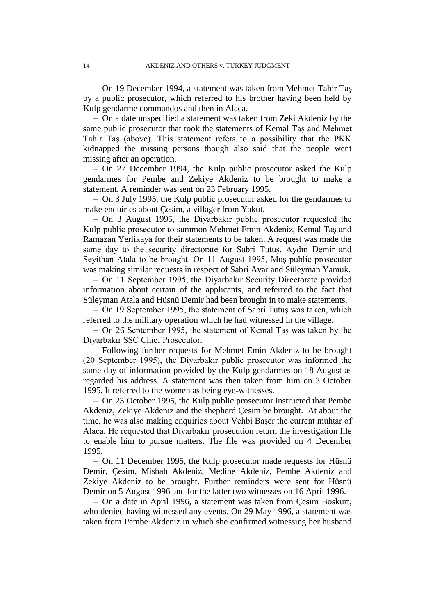– On 19 December 1994, a statement was taken from Mehmet Tahir Taş by a public prosecutor, which referred to his brother having been held by Kulp gendarme commandos and then in Alaca.

– On a date unspecified a statement was taken from Zeki Akdeniz by the same public prosecutor that took the statements of Kemal Taş and Mehmet Tahir Taş (above). This statement refers to a possibility that the PKK kidnapped the missing persons though also said that the people went missing after an operation.

– On 27 December 1994, the Kulp public prosecutor asked the Kulp gendarmes for Pembe and Zekiye Akdeniz to be brought to make a statement. A reminder was sent on 23 February 1995.

– On 3 July 1995, the Kulp public prosecutor asked for the gendarmes to make enquiries about Çesim, a villager from Yakut.

– On 3 August 1995, the Diyarbakır public prosecutor requested the Kulp public prosecutor to summon Mehmet Emin Akdeniz, Kemal Taş and Ramazan Yerlikaya for their statements to be taken. A request was made the same day to the security directorate for Sabri Tutuş, Aydın Demir and Seyithan Atala to be brought. On 11 August 1995, Muş public prosecutor was making similar requests in respect of Sabri Avar and Süleyman Yamuk.

– On 11 September 1995, the Diyarbakır Security Directorate provided information about certain of the applicants, and referred to the fact that Süleyman Atala and Hüsnü Demir had been brought in to make statements.

– On 19 September 1995, the statement of Sabri Tutuş was taken, which referred to the military operation which he had witnessed in the village.

– On 26 September 1995, the statement of Kemal Taş was taken by the Diyarbakır SSC Chief Prosecutor.

– Following further requests for Mehmet Emin Akdeniz to be brought (20 September 1995), the Diyarbakır public prosecutor was informed the same day of information provided by the Kulp gendarmes on 18 August as regarded his address. A statement was then taken from him on 3 October 1995. It referred to the women as being eye-witnesses.

– On 23 October 1995, the Kulp public prosecutor instructed that Pembe Akdeniz, Zekiye Akdeniz and the shepherd Çesim be brought. At about the time, he was also making enquiries about Vehbi Başer the current muhtar of Alaca. He requested that Diyarbakır prosecution return the investigation file to enable him to pursue matters. The file was provided on 4 December 1995.

– On 11 December 1995, the Kulp prosecutor made requests for Hüsnü Demir, Çesim, Misbah Akdeniz, Medine Akdeniz, Pembe Akdeniz and Zekiye Akdeniz to be brought. Further reminders were sent for Hüsnü Demir on 5 August 1996 and for the latter two witnesses on 16 April 1996.

– On a date in April 1996, a statement was taken from Çesim Boskurt, who denied having witnessed any events. On 29 May 1996, a statement was taken from Pembe Akdeniz in which she confirmed witnessing her husband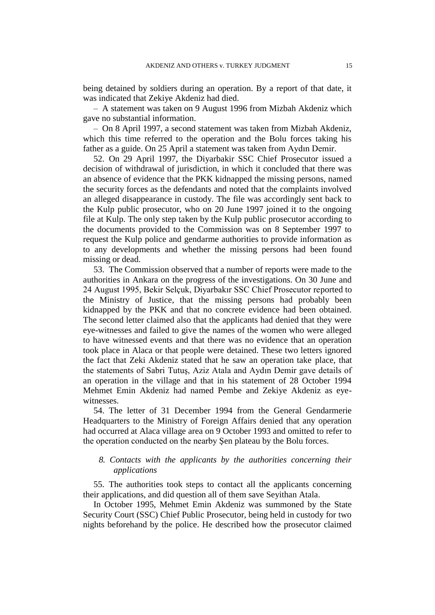being detained by soldiers during an operation. By a report of that date, it was indicated that Zekiye Akdeniz had died.

– A statement was taken on 9 August 1996 from Mizbah Akdeniz which gave no substantial information.

– On 8 April 1997, a second statement was taken from Mizbah Akdeniz, which this time referred to the operation and the Bolu forces taking his father as a guide. On 25 April a statement was taken from Aydın Demir.

52. On 29 April 1997, the Diyarbakir SSC Chief Prosecutor issued a decision of withdrawal of jurisdiction, in which it concluded that there was an absence of evidence that the PKK kidnapped the missing persons, named the security forces as the defendants and noted that the complaints involved an alleged disappearance in custody. The file was accordingly sent back to the Kulp public prosecutor, who on 20 June 1997 joined it to the ongoing file at Kulp. The only step taken by the Kulp public prosecutor according to the documents provided to the Commission was on 8 September 1997 to request the Kulp police and gendarme authorities to provide information as to any developments and whether the missing persons had been found missing or dead.

53. The Commission observed that a number of reports were made to the authorities in Ankara on the progress of the investigations. On 30 June and 24 August 1995, Bekir Selçuk, Diyarbakır SSC Chief Prosecutor reported to the Ministry of Justice, that the missing persons had probably been kidnapped by the PKK and that no concrete evidence had been obtained. The second letter claimed also that the applicants had denied that they were eye-witnesses and failed to give the names of the women who were alleged to have witnessed events and that there was no evidence that an operation took place in Alaca or that people were detained. These two letters ignored the fact that Zeki Akdeniz stated that he saw an operation take place, that the statements of Sabri Tutuş, Aziz Atala and Aydın Demir gave details of an operation in the village and that in his statement of 28 October 1994 Mehmet Emin Akdeniz had named Pembe and Zekiye Akdeniz as eyewitnesses.

54. The letter of 31 December 1994 from the General Gendarmerie Headquarters to the Ministry of Foreign Affairs denied that any operation had occurred at Alaca village area on 9 October 1993 and omitted to refer to the operation conducted on the nearby Şen plateau by the Bolu forces.

### *8. Contacts with the applicants by the authorities concerning their applications*

55. The authorities took steps to contact all the applicants concerning their applications, and did question all of them save Seyithan Atala.

In October 1995, Mehmet Emin Akdeniz was summoned by the State Security Court (SSC) Chief Public Prosecutor, being held in custody for two nights beforehand by the police. He described how the prosecutor claimed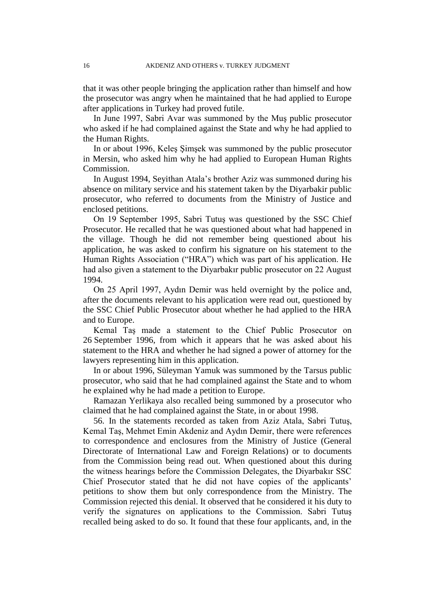that it was other people bringing the application rather than himself and how the prosecutor was angry when he maintained that he had applied to Europe after applications in Turkey had proved futile.

In June 1997, Sabri Avar was summoned by the Muş public prosecutor who asked if he had complained against the State and why he had applied to the Human Rights.

In or about 1996, Keleş Şimşek was summoned by the public prosecutor in Mersin, who asked him why he had applied to European Human Rights Commission.

In August 1994, Seyithan Atala's brother Aziz was summoned during his absence on military service and his statement taken by the Diyarbakir public prosecutor, who referred to documents from the Ministry of Justice and enclosed petitions.

On 19 September 1995, Sabri Tutuş was questioned by the SSC Chief Prosecutor. He recalled that he was questioned about what had happened in the village. Though he did not remember being questioned about his application, he was asked to confirm his signature on his statement to the Human Rights Association ("HRA") which was part of his application. He had also given a statement to the Diyarbakır public prosecutor on 22 August 1994.

On 25 April 1997, Aydın Demir was held overnight by the police and, after the documents relevant to his application were read out, questioned by the SSC Chief Public Prosecutor about whether he had applied to the HRA and to Europe.

Kemal Taş made a statement to the Chief Public Prosecutor on 26 September 1996, from which it appears that he was asked about his statement to the HRA and whether he had signed a power of attorney for the lawyers representing him in this application.

In or about 1996, Süleyman Yamuk was summoned by the Tarsus public prosecutor, who said that he had complained against the State and to whom he explained why he had made a petition to Europe.

Ramazan Yerlikaya also recalled being summoned by a prosecutor who claimed that he had complained against the State, in or about 1998.

56. In the statements recorded as taken from Aziz Atala, Sabri Tutuş, Kemal Taş, Mehmet Emin Akdeniz and Aydın Demir, there were references to correspondence and enclosures from the Ministry of Justice (General Directorate of International Law and Foreign Relations) or to documents from the Commission being read out. When questioned about this during the witness hearings before the Commission Delegates, the Diyarbakır SSC Chief Prosecutor stated that he did not have copies of the applicants' petitions to show them but only correspondence from the Ministry. The Commission rejected this denial. It observed that he considered it his duty to verify the signatures on applications to the Commission. Sabri Tutuş recalled being asked to do so. It found that these four applicants, and, in the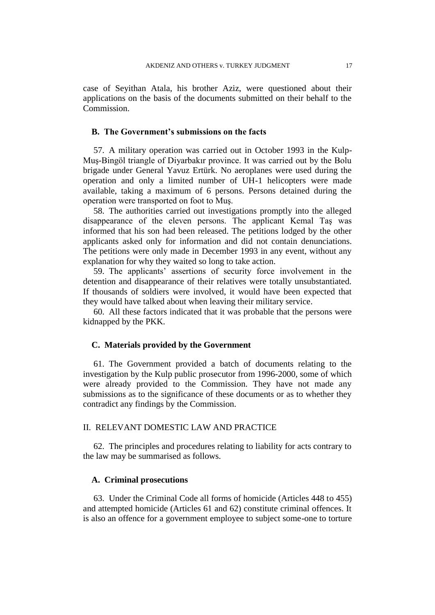case of Seyithan Atala, his brother Aziz, were questioned about their applications on the basis of the documents submitted on their behalf to the Commission.

### **B. The Government's submissions on the facts**

57. A military operation was carried out in October 1993 in the Kulp-Muş-Bingöl triangle of Diyarbakır province. It was carried out by the Bolu brigade under General Yavuz Ertürk. No aeroplanes were used during the operation and only a limited number of UH-1 helicopters were made available, taking a maximum of 6 persons. Persons detained during the operation were transported on foot to Muş.

58. The authorities carried out investigations promptly into the alleged disappearance of the eleven persons. The applicant Kemal Taş was informed that his son had been released. The petitions lodged by the other applicants asked only for information and did not contain denunciations. The petitions were only made in December 1993 in any event, without any explanation for why they waited so long to take action.

59. The applicants' assertions of security force involvement in the detention and disappearance of their relatives were totally unsubstantiated. If thousands of soldiers were involved, it would have been expected that they would have talked about when leaving their military service.

60. All these factors indicated that it was probable that the persons were kidnapped by the PKK.

### **C. Materials provided by the Government**

61. The Government provided a batch of documents relating to the investigation by the Kulp public prosecutor from 1996-2000, some of which were already provided to the Commission. They have not made any submissions as to the significance of these documents or as to whether they contradict any findings by the Commission.

### II. RELEVANT DOMESTIC LAW AND PRACTICE

62. The principles and procedures relating to liability for acts contrary to the law may be summarised as follows.

#### **A. Criminal prosecutions**

63. Under the Criminal Code all forms of homicide (Articles 448 to 455) and attempted homicide (Articles 61 and 62) constitute criminal offences. It is also an offence for a government employee to subject some-one to torture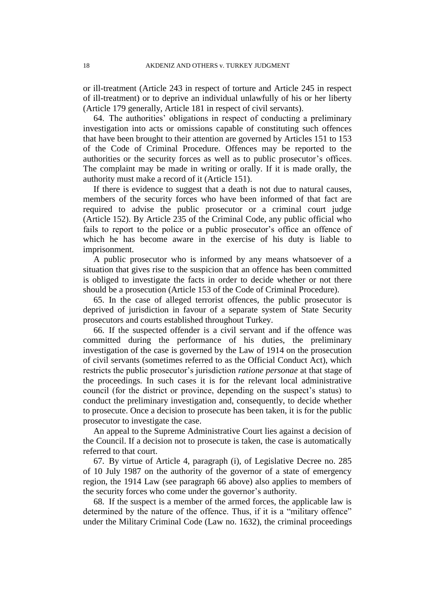or ill-treatment (Article 243 in respect of torture and Article 245 in respect of ill-treatment) or to deprive an individual unlawfully of his or her liberty (Article 179 generally, Article 181 in respect of civil servants).

64. The authorities' obligations in respect of conducting a preliminary investigation into acts or omissions capable of constituting such offences that have been brought to their attention are governed by Articles 151 to 153 of the Code of Criminal Procedure. Offences may be reported to the authorities or the security forces as well as to public prosecutor's offices. The complaint may be made in writing or orally. If it is made orally, the authority must make a record of it (Article 151).

If there is evidence to suggest that a death is not due to natural causes, members of the security forces who have been informed of that fact are required to advise the public prosecutor or a criminal court judge (Article 152). By Article 235 of the Criminal Code, any public official who fails to report to the police or a public prosecutor's office an offence of which he has become aware in the exercise of his duty is liable to imprisonment.

A public prosecutor who is informed by any means whatsoever of a situation that gives rise to the suspicion that an offence has been committed is obliged to investigate the facts in order to decide whether or not there should be a prosecution (Article 153 of the Code of Criminal Procedure).

65. In the case of alleged terrorist offences, the public prosecutor is deprived of jurisdiction in favour of a separate system of State Security prosecutors and courts established throughout Turkey.

66. If the suspected offender is a civil servant and if the offence was committed during the performance of his duties, the preliminary investigation of the case is governed by the Law of 1914 on the prosecution of civil servants (sometimes referred to as the Official Conduct Act), which restricts the public prosecutor's jurisdiction *ratione personae* at that stage of the proceedings. In such cases it is for the relevant local administrative council (for the district or province, depending on the suspect's status) to conduct the preliminary investigation and, consequently, to decide whether to prosecute. Once a decision to prosecute has been taken, it is for the public prosecutor to investigate the case.

An appeal to the Supreme Administrative Court lies against a decision of the Council. If a decision not to prosecute is taken, the case is automatically referred to that court.

67. By virtue of Article 4, paragraph (i), of Legislative Decree no. 285 of 10 July 1987 on the authority of the governor of a state of emergency region, the 1914 Law (see paragraph 66 above) also applies to members of the security forces who come under the governor's authority.

68. If the suspect is a member of the armed forces, the applicable law is determined by the nature of the offence. Thus, if it is a "military offence" under the Military Criminal Code (Law no. 1632), the criminal proceedings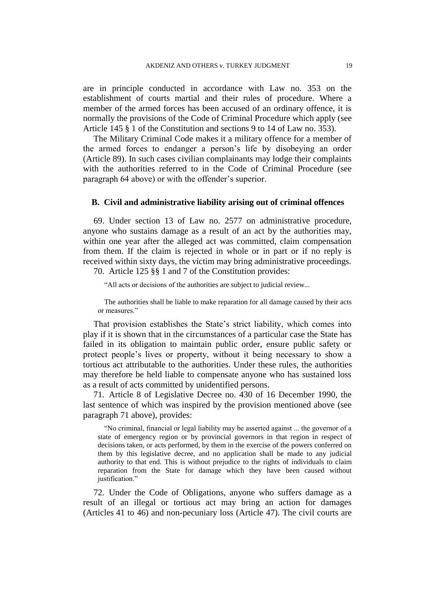are in principle conducted in accordance with Law no. 353 on the establishment of courts martial and their rules of procedure. Where a member of the armed forces has been accused of an ordinary offence, it is normally the provisions of the Code of Criminal Procedure which apply (see Article 145 § 1 of the Constitution and sections 9 to 14 of Law no. 353).

The Military Criminal Code makes it a military offence for a member of the armed forces to endanger a person's life by disobeying an order (Article 89). In such cases civilian complainants may lodge their complaints with the authorities referred to in the Code of Criminal Procedure (see paragraph 64 above) or with the offender's superior.

#### **B. Civil and administrative liability arising out of criminal offences**

69. Under section 13 of Law no. 2577 on administrative procedure, anyone who sustains damage as a result of an act by the authorities may, within one year after the alleged act was committed, claim compensation from them. If the claim is rejected in whole or in part or if no reply is received within sixty days, the victim may bring administrative proceedings. 70. Article 125 §§ 1 and 7 of the Constitution provides:

"All acts or decisions of the authorities are subject to judicial review...

The authorities shall be liable to make reparation for all damage caused by their acts or measures."

That provision establishes the State's strict liability, which comes into play if it is shown that in the circumstances of a particular case the State has failed in its obligation to maintain public order, ensure public safety or protect people's lives or property, without it being necessary to show a tortious act attributable to the authorities. Under these rules, the authorities may therefore be held liable to compensate anyone who has sustained loss as a result of acts committed by unidentified persons.

71. Article 8 of Legislative Decree no. 430 of 16 December 1990, the last sentence of which was inspired by the provision mentioned above (see paragraph 71 above), provides:

"No criminal, financial or legal liability may be asserted against ... the governor of a state of emergency region or by provincial governors in that region in respect of decisions taken, or acts performed, by them in the exercise of the powers conferred on them by this legislative decree, and no application shall be made to any judicial authority to that end. This is without prejudice to the rights of individuals to claim reparation from the State for damage which they have been caused without justification."

72. Under the Code of Obligations, anyone who suffers damage as a result of an illegal or tortious act may bring an action for damages (Articles 41 to 46) and non-pecuniary loss (Article 47). The civil courts are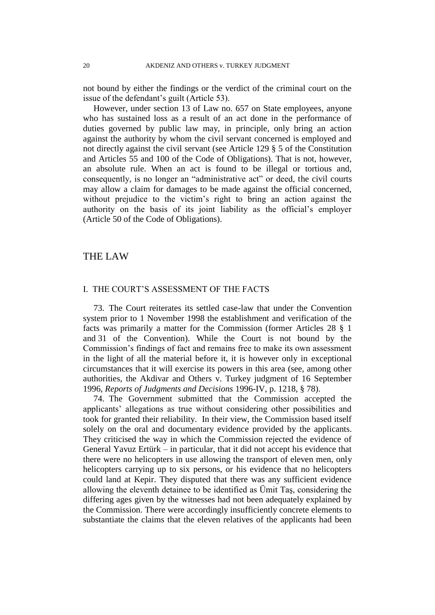not bound by either the findings or the verdict of the criminal court on the issue of the defendant's guilt (Article 53).

However, under section 13 of Law no. 657 on State employees, anyone who has sustained loss as a result of an act done in the performance of duties governed by public law may, in principle, only bring an action against the authority by whom the civil servant concerned is employed and not directly against the civil servant (see Article 129 § 5 of the Constitution and Articles 55 and 100 of the Code of Obligations). That is not, however, an absolute rule. When an act is found to be illegal or tortious and, consequently, is no longer an "administrative act" or deed, the civil courts may allow a claim for damages to be made against the official concerned, without prejudice to the victim's right to bring an action against the authority on the basis of its joint liability as the official's employer (Article 50 of the Code of Obligations).

### THE LAW

#### I. THE COURT'S ASSESSMENT OF THE FACTS

73. The Court reiterates its settled case-law that under the Convention system prior to 1 November 1998 the establishment and verification of the facts was primarily a matter for the Commission (former Articles 28 § 1 and 31 of the Convention). While the Court is not bound by the Commission's findings of fact and remains free to make its own assessment in the light of all the material before it, it is however only in exceptional circumstances that it will exercise its powers in this area (see, among other authorities, the Akdivar and Others v. Turkey judgment of 16 September 1996, *Reports of Judgments and Decisions* 1996-IV, p. 1218, § 78).

74. The Government submitted that the Commission accepted the applicants' allegations as true without considering other possibilities and took for granted their reliability. In their view, the Commission based itself solely on the oral and documentary evidence provided by the applicants. They criticised the way in which the Commission rejected the evidence of General Yavuz Ertürk – in particular, that it did not accept his evidence that there were no helicopters in use allowing the transport of eleven men, only helicopters carrying up to six persons, or his evidence that no helicopters could land at Kepir. They disputed that there was any sufficient evidence allowing the eleventh detainee to be identified as Ümit Taş, considering the differing ages given by the witnesses had not been adequately explained by the Commission. There were accordingly insufficiently concrete elements to substantiate the claims that the eleven relatives of the applicants had been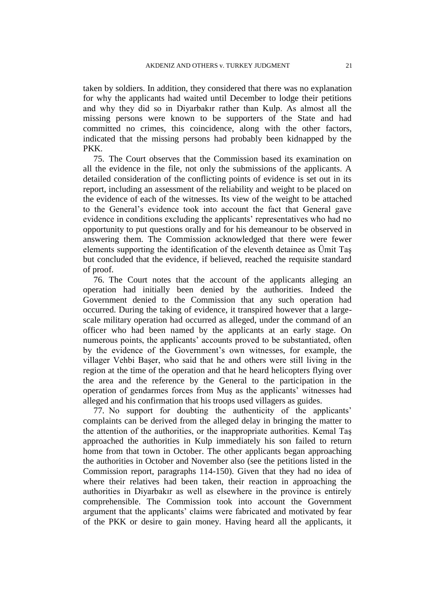taken by soldiers. In addition, they considered that there was no explanation for why the applicants had waited until December to lodge their petitions and why they did so in Diyarbakır rather than Kulp. As almost all the missing persons were known to be supporters of the State and had committed no crimes, this coincidence, along with the other factors, indicated that the missing persons had probably been kidnapped by the PKK.

75. The Court observes that the Commission based its examination on all the evidence in the file, not only the submissions of the applicants. A detailed consideration of the conflicting points of evidence is set out in its report, including an assessment of the reliability and weight to be placed on the evidence of each of the witnesses. Its view of the weight to be attached to the General's evidence took into account the fact that General gave evidence in conditions excluding the applicants' representatives who had no opportunity to put questions orally and for his demeanour to be observed in answering them. The Commission acknowledged that there were fewer elements supporting the identification of the eleventh detainee as Ümit Taş but concluded that the evidence, if believed, reached the requisite standard of proof.

76. The Court notes that the account of the applicants alleging an operation had initially been denied by the authorities. Indeed the Government denied to the Commission that any such operation had occurred. During the taking of evidence, it transpired however that a largescale military operation had occurred as alleged, under the command of an officer who had been named by the applicants at an early stage. On numerous points, the applicants' accounts proved to be substantiated, often by the evidence of the Government's own witnesses, for example, the villager Vehbi Başer, who said that he and others were still living in the region at the time of the operation and that he heard helicopters flying over the area and the reference by the General to the participation in the operation of gendarmes forces from Muş as the applicants' witnesses had alleged and his confirmation that his troops used villagers as guides.

77. No support for doubting the authenticity of the applicants' complaints can be derived from the alleged delay in bringing the matter to the attention of the authorities, or the inappropriate authorities. Kemal Taş approached the authorities in Kulp immediately his son failed to return home from that town in October. The other applicants began approaching the authorities in October and November also (see the petitions listed in the Commission report, paragraphs 114-150). Given that they had no idea of where their relatives had been taken, their reaction in approaching the authorities in Diyarbakır as well as elsewhere in the province is entirely comprehensible. The Commission took into account the Government argument that the applicants' claims were fabricated and motivated by fear of the PKK or desire to gain money. Having heard all the applicants, it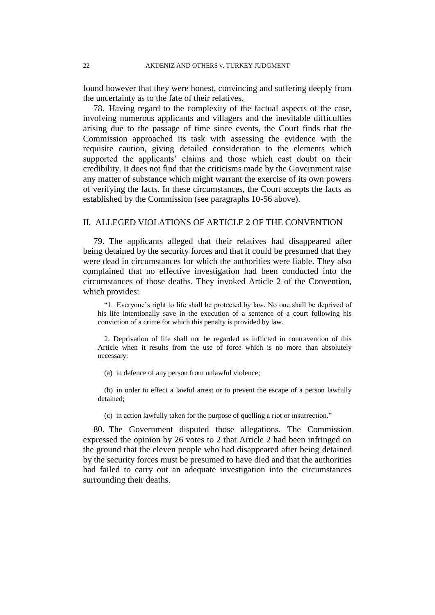found however that they were honest, convincing and suffering deeply from the uncertainty as to the fate of their relatives.

78. Having regard to the complexity of the factual aspects of the case, involving numerous applicants and villagers and the inevitable difficulties arising due to the passage of time since events, the Court finds that the Commission approached its task with assessing the evidence with the requisite caution, giving detailed consideration to the elements which supported the applicants' claims and those which cast doubt on their credibility. It does not find that the criticisms made by the Government raise any matter of substance which might warrant the exercise of its own powers of verifying the facts. In these circumstances, the Court accepts the facts as established by the Commission (see paragraphs 10-56 above).

### II. ALLEGED VIOLATIONS OF ARTICLE 2 OF THE CONVENTION

79. The applicants alleged that their relatives had disappeared after being detained by the security forces and that it could be presumed that they were dead in circumstances for which the authorities were liable. They also complained that no effective investigation had been conducted into the circumstances of those deaths. They invoked Article 2 of the Convention, which provides:

"1. Everyone's right to life shall be protected by law. No one shall be deprived of his life intentionally save in the execution of a sentence of a court following his conviction of a crime for which this penalty is provided by law.

2. Deprivation of life shall not be regarded as inflicted in contravention of this Article when it results from the use of force which is no more than absolutely necessary:

(a) in defence of any person from unlawful violence;

(b) in order to effect a lawful arrest or to prevent the escape of a person lawfully detained;

(c) in action lawfully taken for the purpose of quelling a riot or insurrection."

80. The Government disputed those allegations. The Commission expressed the opinion by 26 votes to 2 that Article 2 had been infringed on the ground that the eleven people who had disappeared after being detained by the security forces must be presumed to have died and that the authorities had failed to carry out an adequate investigation into the circumstances surrounding their deaths.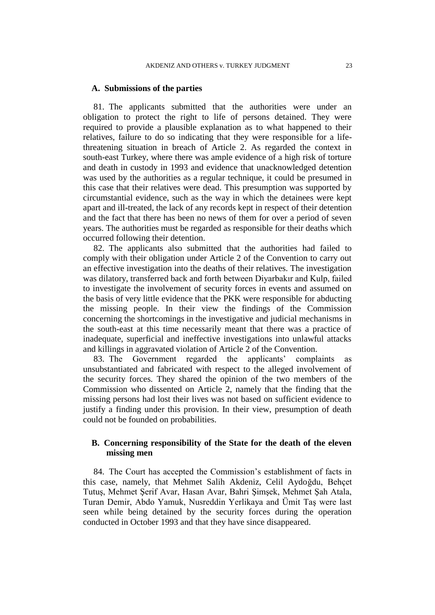#### **A. Submissions of the parties**

81. The applicants submitted that the authorities were under an obligation to protect the right to life of persons detained. They were required to provide a plausible explanation as to what happened to their relatives, failure to do so indicating that they were responsible for a lifethreatening situation in breach of Article 2. As regarded the context in south-east Turkey, where there was ample evidence of a high risk of torture and death in custody in 1993 and evidence that unacknowledged detention was used by the authorities as a regular technique, it could be presumed in this case that their relatives were dead. This presumption was supported by circumstantial evidence, such as the way in which the detainees were kept apart and ill-treated, the lack of any records kept in respect of their detention and the fact that there has been no news of them for over a period of seven years. The authorities must be regarded as responsible for their deaths which occurred following their detention.

82. The applicants also submitted that the authorities had failed to comply with their obligation under Article 2 of the Convention to carry out an effective investigation into the deaths of their relatives. The investigation was dilatory, transferred back and forth between Diyarbakır and Kulp, failed to investigate the involvement of security forces in events and assumed on the basis of very little evidence that the PKK were responsible for abducting the missing people. In their view the findings of the Commission concerning the shortcomings in the investigative and judicial mechanisms in the south-east at this time necessarily meant that there was a practice of inadequate, superficial and ineffective investigations into unlawful attacks and killings in aggravated violation of Article 2 of the Convention.

83. The Government regarded the applicants' complaints as unsubstantiated and fabricated with respect to the alleged involvement of the security forces. They shared the opinion of the two members of the Commission who dissented on Article 2, namely that the finding that the missing persons had lost their lives was not based on sufficient evidence to justify a finding under this provision. In their view, presumption of death could not be founded on probabilities.

### **B. Concerning responsibility of the State for the death of the eleven missing men**

84. The Court has accepted the Commission's establishment of facts in this case, namely, that Mehmet Salih Akdeniz, Celil Aydoğdu, Behçet Tutuş, Mehmet Şerif Avar, Hasan Avar, Bahri Şimşek, Mehmet Şah Atala, Turan Demir, Abdo Yamuk, Nusreddin Yerlikaya and Ümit Taş were last seen while being detained by the security forces during the operation conducted in October 1993 and that they have since disappeared.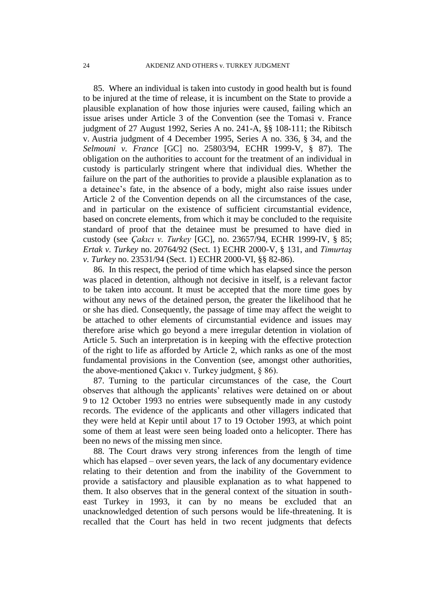85. Where an individual is taken into custody in good health but is found to be injured at the time of release, it is incumbent on the State to provide a plausible explanation of how those injuries were caused, failing which an issue arises under Article 3 of the Convention (see the Tomasi v. France judgment of 27 August 1992, Series A no. 241-A, §§ 108-111; the Ribitsch v. Austria judgment of 4 December 1995, Series A no. 336, § 34, and the *Selmouni v. France* [GC] no. 25803/94, ECHR 1999-V, § 87). The obligation on the authorities to account for the treatment of an individual in custody is particularly stringent where that individual dies. Whether the failure on the part of the authorities to provide a plausible explanation as to a detainee's fate, in the absence of a body, might also raise issues under Article 2 of the Convention depends on all the circumstances of the case, and in particular on the existence of sufficient circumstantial evidence, based on concrete elements, from which it may be concluded to the requisite standard of proof that the detainee must be presumed to have died in custody (see *Çakıcı v. Turkey* [GC], no. 23657/94, ECHR 1999-IV, § 85; *Ertak v. Turkey* no. 20764/92 (Sect. 1) ECHR 2000-V, § 131, and *Timurtaş v. Turkey* no. 23531/94 (Sect. 1) ECHR 2000-VI, §§ 82-86).

86. In this respect, the period of time which has elapsed since the person was placed in detention, although not decisive in itself, is a relevant factor to be taken into account. It must be accepted that the more time goes by without any news of the detained person, the greater the likelihood that he or she has died. Consequently, the passage of time may affect the weight to be attached to other elements of circumstantial evidence and issues may therefore arise which go beyond a mere irregular detention in violation of Article 5. Such an interpretation is in keeping with the effective protection of the right to life as afforded by Article 2, which ranks as one of the most fundamental provisions in the Convention (see, amongst other authorities, the above-mentioned Çakıcı v. Turkey judgment, § 86).

87. Turning to the particular circumstances of the case, the Court observes that although the applicants' relatives were detained on or about 9 to 12 October 1993 no entries were subsequently made in any custody records. The evidence of the applicants and other villagers indicated that they were held at Kepir until about 17 to 19 October 1993, at which point some of them at least were seen being loaded onto a helicopter. There has been no news of the missing men since.

88. The Court draws very strong inferences from the length of time which has elapsed – over seven years, the lack of any documentary evidence relating to their detention and from the inability of the Government to provide a satisfactory and plausible explanation as to what happened to them. It also observes that in the general context of the situation in southeast Turkey in 1993, it can by no means be excluded that an unacknowledged detention of such persons would be life-threatening. It is recalled that the Court has held in two recent judgments that defects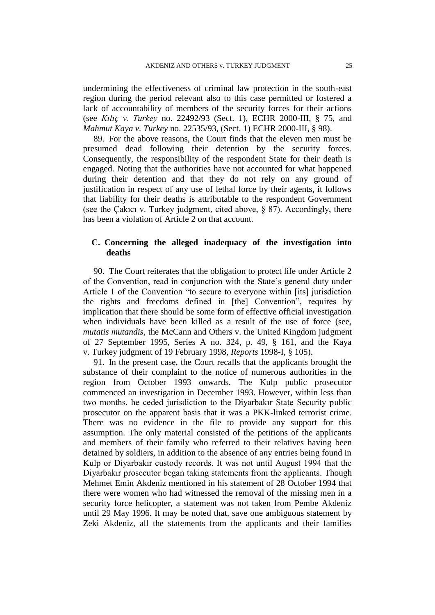undermining the effectiveness of criminal law protection in the south-east region during the period relevant also to this case permitted or fostered a lack of accountability of members of the security forces for their actions (see *Kılıç v. Turkey* no. 22492/93 (Sect. 1), ECHR 2000-III, § 75, and *Mahmut Kaya v. Turkey* no. 22535/93, (Sect. 1) ECHR 2000-III, § 98).

89. For the above reasons, the Court finds that the eleven men must be presumed dead following their detention by the security forces. Consequently, the responsibility of the respondent State for their death is engaged. Noting that the authorities have not accounted for what happened during their detention and that they do not rely on any ground of justification in respect of any use of lethal force by their agents, it follows that liability for their deaths is attributable to the respondent Government (see the Çakıcı v. Turkey judgment, cited above,  $\S$  87). Accordingly, there has been a violation of Article 2 on that account.

### **C. Concerning the alleged inadequacy of the investigation into deaths**

90. The Court reiterates that the obligation to protect life under Article 2 of the Convention, read in conjunction with the State's general duty under Article 1 of the Convention "to secure to everyone within [its] jurisdiction the rights and freedoms defined in [the] Convention", requires by implication that there should be some form of effective official investigation when individuals have been killed as a result of the use of force (see, *mutatis mutandis*, the McCann and Others v. the United Kingdom judgment of 27 September 1995, Series A no. 324, p. 49, § 161, and the Kaya v. Turkey judgment of 19 February 1998, *Reports* 1998-I, § 105).

91. In the present case, the Court recalls that the applicants brought the substance of their complaint to the notice of numerous authorities in the region from October 1993 onwards. The Kulp public prosecutor commenced an investigation in December 1993. However, within less than two months, he ceded jurisdiction to the Diyarbakır State Security public prosecutor on the apparent basis that it was a PKK-linked terrorist crime. There was no evidence in the file to provide any support for this assumption. The only material consisted of the petitions of the applicants and members of their family who referred to their relatives having been detained by soldiers, in addition to the absence of any entries being found in Kulp or Diyarbakır custody records. It was not until August 1994 that the Diyarbakır prosecutor began taking statements from the applicants. Though Mehmet Emin Akdeniz mentioned in his statement of 28 October 1994 that there were women who had witnessed the removal of the missing men in a security force helicopter, a statement was not taken from Pembe Akdeniz until 29 May 1996. It may be noted that, save one ambiguous statement by Zeki Akdeniz, all the statements from the applicants and their families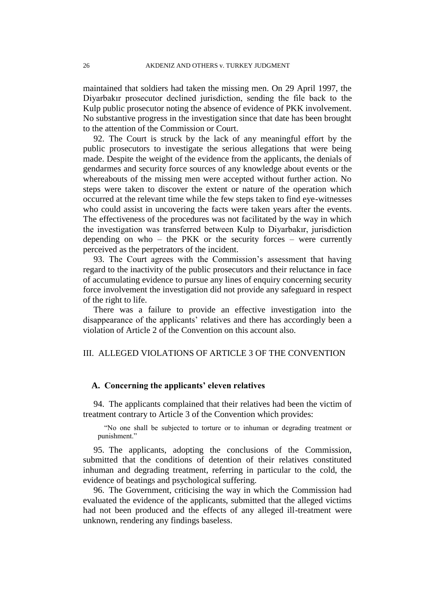maintained that soldiers had taken the missing men. On 29 April 1997, the Diyarbakır prosecutor declined jurisdiction, sending the file back to the Kulp public prosecutor noting the absence of evidence of PKK involvement. No substantive progress in the investigation since that date has been brought to the attention of the Commission or Court.

92. The Court is struck by the lack of any meaningful effort by the public prosecutors to investigate the serious allegations that were being made. Despite the weight of the evidence from the applicants, the denials of gendarmes and security force sources of any knowledge about events or the whereabouts of the missing men were accepted without further action. No steps were taken to discover the extent or nature of the operation which occurred at the relevant time while the few steps taken to find eye-witnesses who could assist in uncovering the facts were taken years after the events. The effectiveness of the procedures was not facilitated by the way in which the investigation was transferred between Kulp to Diyarbakır, jurisdiction depending on who – the PKK or the security forces – were currently perceived as the perpetrators of the incident.

93. The Court agrees with the Commission's assessment that having regard to the inactivity of the public prosecutors and their reluctance in face of accumulating evidence to pursue any lines of enquiry concerning security force involvement the investigation did not provide any safeguard in respect of the right to life.

There was a failure to provide an effective investigation into the disappearance of the applicants' relatives and there has accordingly been a violation of Article 2 of the Convention on this account also.

### III. ALLEGED VIOLATIONS OF ARTICLE 3 OF THE CONVENTION

#### **A. Concerning the applicants' eleven relatives**

94. The applicants complained that their relatives had been the victim of treatment contrary to Article 3 of the Convention which provides:

"No one shall be subjected to torture or to inhuman or degrading treatment or punishment."

95. The applicants, adopting the conclusions of the Commission, submitted that the conditions of detention of their relatives constituted inhuman and degrading treatment, referring in particular to the cold, the evidence of beatings and psychological suffering.

96. The Government, criticising the way in which the Commission had evaluated the evidence of the applicants, submitted that the alleged victims had not been produced and the effects of any alleged ill-treatment were unknown, rendering any findings baseless.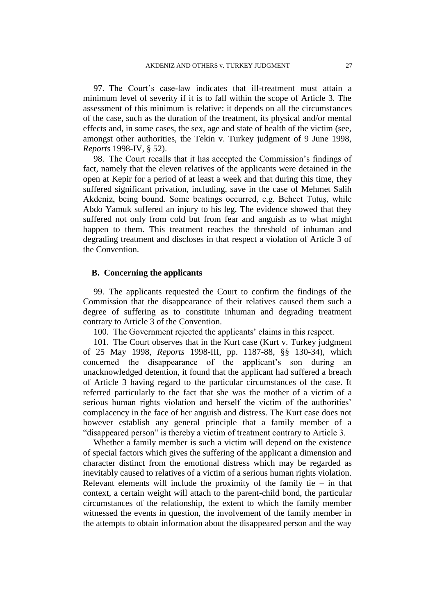97. The Court's case-law indicates that ill-treatment must attain a minimum level of severity if it is to fall within the scope of Article 3. The assessment of this minimum is relative: it depends on all the circumstances of the case, such as the duration of the treatment, its physical and/or mental effects and, in some cases, the sex, age and state of health of the victim (see, amongst other authorities, the Tekin v. Turkey judgment of 9 June 1998, *Reports* 1998-IV, § 52).

98. The Court recalls that it has accepted the Commission's findings of fact, namely that the eleven relatives of the applicants were detained in the open at Kepir for a period of at least a week and that during this time, they suffered significant privation, including, save in the case of Mehmet Salih Akdeniz, being bound. Some beatings occurred, e.g. Behcet Tutuş, while Abdo Yamuk suffered an injury to his leg. The evidence showed that they suffered not only from cold but from fear and anguish as to what might happen to them. This treatment reaches the threshold of inhuman and degrading treatment and discloses in that respect a violation of Article 3 of the Convention.

#### **B. Concerning the applicants**

99. The applicants requested the Court to confirm the findings of the Commission that the disappearance of their relatives caused them such a degree of suffering as to constitute inhuman and degrading treatment contrary to Article 3 of the Convention.

100. The Government rejected the applicants' claims in this respect.

101. The Court observes that in the Kurt case (Kurt v. Turkey judgment of 25 May 1998, *Reports* 1998-III, pp. 1187-88, §§ 130-34), which concerned the disappearance of the applicant's son during an unacknowledged detention, it found that the applicant had suffered a breach of Article 3 having regard to the particular circumstances of the case. It referred particularly to the fact that she was the mother of a victim of a serious human rights violation and herself the victim of the authorities' complacency in the face of her anguish and distress. The Kurt case does not however establish any general principle that a family member of a "disappeared person" is thereby a victim of treatment contrary to Article 3.

Whether a family member is such a victim will depend on the existence of special factors which gives the suffering of the applicant a dimension and character distinct from the emotional distress which may be regarded as inevitably caused to relatives of a victim of a serious human rights violation. Relevant elements will include the proximity of the family tie  $-$  in that context, a certain weight will attach to the parent-child bond, the particular circumstances of the relationship, the extent to which the family member witnessed the events in question, the involvement of the family member in the attempts to obtain information about the disappeared person and the way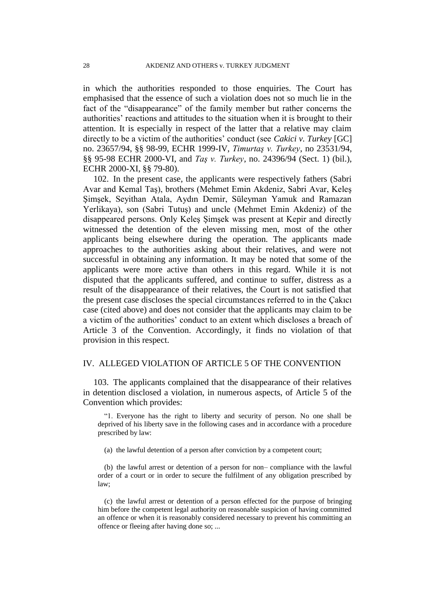in which the authorities responded to those enquiries. The Court has emphasised that the essence of such a violation does not so much lie in the fact of the "disappearance" of the family member but rather concerns the authorities' reactions and attitudes to the situation when it is brought to their attention. It is especially in respect of the latter that a relative may claim directly to be a victim of the authorities' conduct (see *Cakici v. Turkey* [GC] no. 23657/94, §§ 98-99, ECHR 1999-IV, *Timurtaş v. Turkey*, no 23531/94, §§ 95-98 ECHR 2000-VI, and *Taş v. Turkey*, no. 24396/94 (Sect. 1) (bil.), ECHR 2000-XI, §§ 79-80).

102. In the present case, the applicants were respectively fathers (Sabri Avar and Kemal Taş), brothers (Mehmet Emin Akdeniz, Sabri Avar, Keleş Şimşek, Seyithan Atala, Aydın Demir, Süleyman Yamuk and Ramazan Yerlikaya), son (Sabri Tutuş) and uncle (Mehmet Emin Akdeniz) of the disappeared persons. Only Keleş Şimşek was present at Kepir and directly witnessed the detention of the eleven missing men, most of the other applicants being elsewhere during the operation. The applicants made approaches to the authorities asking about their relatives, and were not successful in obtaining any information. It may be noted that some of the applicants were more active than others in this regard. While it is not disputed that the applicants suffered, and continue to suffer, distress as a result of the disappearance of their relatives, the Court is not satisfied that the present case discloses the special circumstances referred to in the Çakıcı case (cited above) and does not consider that the applicants may claim to be a victim of the authorities' conduct to an extent which discloses a breach of Article 3 of the Convention. Accordingly, it finds no violation of that provision in this respect.

### IV. ALLEGED VIOLATION OF ARTICLE 5 OF THE CONVENTION

103. The applicants complained that the disappearance of their relatives in detention disclosed a violation, in numerous aspects, of Article 5 of the Convention which provides:

"1. Everyone has the right to liberty and security of person. No one shall be deprived of his liberty save in the following cases and in accordance with a procedure prescribed by law:

(a) the lawful detention of a person after conviction by a competent court;

(b) the lawful arrest or detention of a person for non– compliance with the lawful order of a court or in order to secure the fulfilment of any obligation prescribed by law;

(c) the lawful arrest or detention of a person effected for the purpose of bringing him before the competent legal authority on reasonable suspicion of having committed an offence or when it is reasonably considered necessary to prevent his committing an offence or fleeing after having done so; ...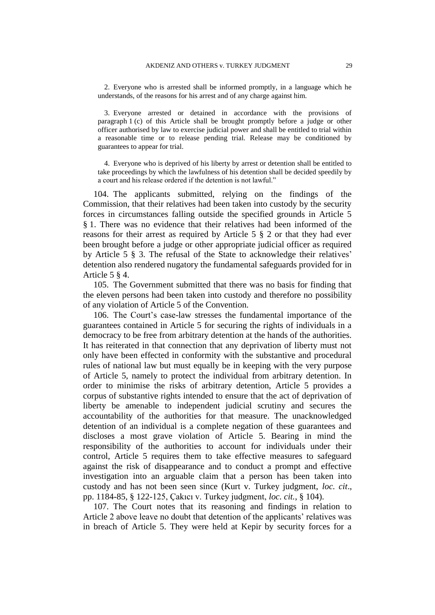2. Everyone who is arrested shall be informed promptly, in a language which he understands, of the reasons for his arrest and of any charge against him.

3. Everyone arrested or detained in accordance with the provisions of paragraph 1 (c) of this Article shall be brought promptly before a judge or other officer authorised by law to exercise judicial power and shall be entitled to trial within a reasonable time or to release pending trial. Release may be conditioned by guarantees to appear for trial.

4. Everyone who is deprived of his liberty by arrest or detention shall be entitled to take proceedings by which the lawfulness of his detention shall be decided speedily by a court and his release ordered if the detention is not lawful."

104. The applicants submitted, relying on the findings of the Commission, that their relatives had been taken into custody by the security forces in circumstances falling outside the specified grounds in Article 5 § 1. There was no evidence that their relatives had been informed of the reasons for their arrest as required by Article 5 § 2 or that they had ever been brought before a judge or other appropriate judicial officer as required by Article 5 § 3. The refusal of the State to acknowledge their relatives' detention also rendered nugatory the fundamental safeguards provided for in Article 5 § 4.

105. The Government submitted that there was no basis for finding that the eleven persons had been taken into custody and therefore no possibility of any violation of Article 5 of the Convention.

106. The Court's case-law stresses the fundamental importance of the guarantees contained in Article 5 for securing the rights of individuals in a democracy to be free from arbitrary detention at the hands of the authorities. It has reiterated in that connection that any deprivation of liberty must not only have been effected in conformity with the substantive and procedural rules of national law but must equally be in keeping with the very purpose of Article 5, namely to protect the individual from arbitrary detention. In order to minimise the risks of arbitrary detention, Article 5 provides a corpus of substantive rights intended to ensure that the act of deprivation of liberty be amenable to independent judicial scrutiny and secures the accountability of the authorities for that measure. The unacknowledged detention of an individual is a complete negation of these guarantees and discloses a most grave violation of Article 5. Bearing in mind the responsibility of the authorities to account for individuals under their control, Article 5 requires them to take effective measures to safeguard against the risk of disappearance and to conduct a prompt and effective investigation into an arguable claim that a person has been taken into custody and has not been seen since (Kurt v. Turkey judgment, *loc. cit*., pp. 1184-85, § 122-125, Çakıcı v. Turkey judgment, *loc. cit.*, § 104).

107. The Court notes that its reasoning and findings in relation to Article 2 above leave no doubt that detention of the applicants' relatives was in breach of Article 5. They were held at Kepir by security forces for a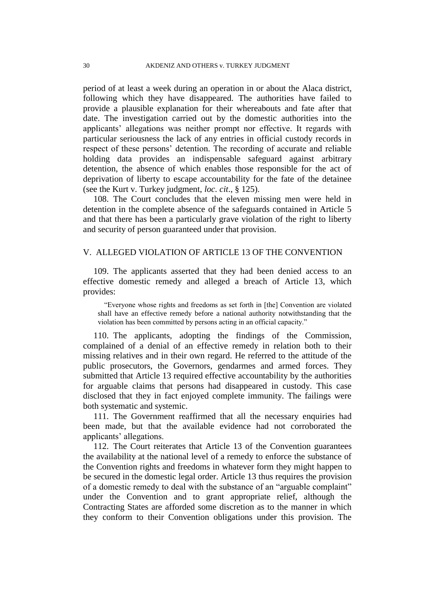period of at least a week during an operation in or about the Alaca district, following which they have disappeared. The authorities have failed to provide a plausible explanation for their whereabouts and fate after that date. The investigation carried out by the domestic authorities into the applicants' allegations was neither prompt nor effective. It regards with particular seriousness the lack of any entries in official custody records in respect of these persons' detention. The recording of accurate and reliable holding data provides an indispensable safeguard against arbitrary detention, the absence of which enables those responsible for the act of deprivation of liberty to escape accountability for the fate of the detainee (see the Kurt v. Turkey judgment, *loc. cit*., § 125).

108. The Court concludes that the eleven missing men were held in detention in the complete absence of the safeguards contained in Article 5 and that there has been a particularly grave violation of the right to liberty and security of person guaranteed under that provision.

### V. ALLEGED VIOLATION OF ARTICLE 13 OF THE CONVENTION

109. The applicants asserted that they had been denied access to an effective domestic remedy and alleged a breach of Article 13, which provides:

"Everyone whose rights and freedoms as set forth in [the] Convention are violated shall have an effective remedy before a national authority notwithstanding that the violation has been committed by persons acting in an official capacity."

110. The applicants, adopting the findings of the Commission, complained of a denial of an effective remedy in relation both to their missing relatives and in their own regard. He referred to the attitude of the public prosecutors, the Governors, gendarmes and armed forces. They submitted that Article 13 required effective accountability by the authorities for arguable claims that persons had disappeared in custody. This case disclosed that they in fact enjoyed complete immunity. The failings were both systematic and systemic.

111. The Government reaffirmed that all the necessary enquiries had been made, but that the available evidence had not corroborated the applicants' allegations.

112. The Court reiterates that Article 13 of the Convention guarantees the availability at the national level of a remedy to enforce the substance of the Convention rights and freedoms in whatever form they might happen to be secured in the domestic legal order. Article 13 thus requires the provision of a domestic remedy to deal with the substance of an "arguable complaint" under the Convention and to grant appropriate relief, although the Contracting States are afforded some discretion as to the manner in which they conform to their Convention obligations under this provision. The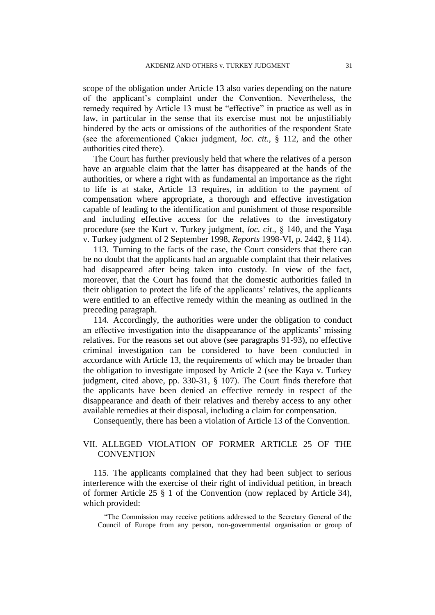scope of the obligation under Article 13 also varies depending on the nature of the applicant's complaint under the Convention. Nevertheless, the remedy required by Article 13 must be "effective" in practice as well as in law, in particular in the sense that its exercise must not be unjustifiably hindered by the acts or omissions of the authorities of the respondent State (see the aforementioned Çakıcı judgment, *loc. cit.*, § 112, and the other authorities cited there).

The Court has further previously held that where the relatives of a person have an arguable claim that the latter has disappeared at the hands of the authorities, or where a right with as fundamental an importance as the right to life is at stake, Article 13 requires, in addition to the payment of compensation where appropriate, a thorough and effective investigation capable of leading to the identification and punishment of those responsible and including effective access for the relatives to the investigatory procedure (see the Kurt v. Turkey judgment, *loc. cit*., § 140, and the Yaşa v. Turkey judgment of 2 September 1998, *Reports* 1998-VI, p. 2442, § 114).

113. Turning to the facts of the case, the Court considers that there can be no doubt that the applicants had an arguable complaint that their relatives had disappeared after being taken into custody. In view of the fact, moreover, that the Court has found that the domestic authorities failed in their obligation to protect the life of the applicants' relatives, the applicants were entitled to an effective remedy within the meaning as outlined in the preceding paragraph.

114. Accordingly, the authorities were under the obligation to conduct an effective investigation into the disappearance of the applicants' missing relatives. For the reasons set out above (see paragraphs 91-93), no effective criminal investigation can be considered to have been conducted in accordance with Article 13, the requirements of which may be broader than the obligation to investigate imposed by Article 2 (see the Kaya v. Turkey judgment, cited above, pp. 330-31, § 107). The Court finds therefore that the applicants have been denied an effective remedy in respect of the disappearance and death of their relatives and thereby access to any other available remedies at their disposal, including a claim for compensation.

Consequently, there has been a violation of Article 13 of the Convention.

### VII. ALLEGED VIOLATION OF FORMER ARTICLE 25 OF THE **CONVENTION**

115. The applicants complained that they had been subject to serious interference with the exercise of their right of individual petition, in breach of former Article 25 § 1 of the Convention (now replaced by Article 34), which provided:

"The Commission may receive petitions addressed to the Secretary General of the Council of Europe from any person, non-governmental organisation or group of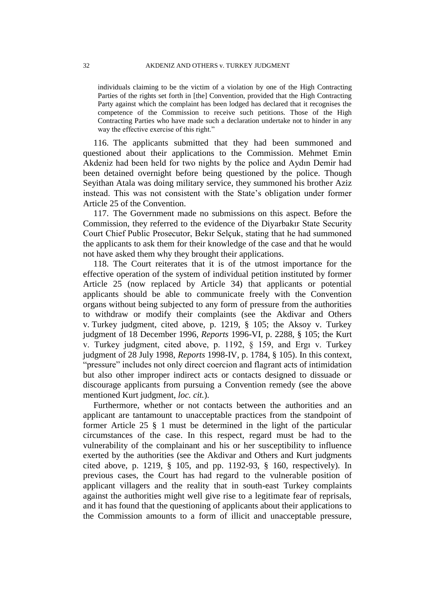individuals claiming to be the victim of a violation by one of the High Contracting Parties of the rights set forth in [the] Convention, provided that the High Contracting Party against which the complaint has been lodged has declared that it recognises the competence of the Commission to receive such petitions. Those of the High Contracting Parties who have made such a declaration undertake not to hinder in any way the effective exercise of this right."

116. The applicants submitted that they had been summoned and questioned about their applications to the Commission. Mehmet Emin Akdeniz had been held for two nights by the police and Aydın Demir had been detained overnight before being questioned by the police. Though Seyithan Atala was doing military service, they summoned his brother Aziz instead. This was not consistent with the State's obligation under former Article 25 of the Convention.

117. The Government made no submissions on this aspect. Before the Commission, they referred to the evidence of the Diyarbakır State Security Court Chief Public Prosecutor, Bekır Selçuk, stating that he had summoned the applicants to ask them for their knowledge of the case and that he would not have asked them why they brought their applications.

118. The Court reiterates that it is of the utmost importance for the effective operation of the system of individual petition instituted by former Article 25 (now replaced by Article 34) that applicants or potential applicants should be able to communicate freely with the Convention organs without being subjected to any form of pressure from the authorities to withdraw or modify their complaints (see the Akdivar and Others v. Turkey judgment, cited above, p. 1219, § 105; the Aksoy v. Turkey judgment of 18 December 1996, *Reports* 1996-VI, p. 2288, § 105; the Kurt v. Turkey judgment, cited above, p. 1192, § 159, and Ergı v. Turkey judgment of 28 July 1998, *Reports* 1998-IV, p. 1784, § 105). In this context, "pressure" includes not only direct coercion and flagrant acts of intimidation but also other improper indirect acts or contacts designed to dissuade or discourage applicants from pursuing a Convention remedy (see the above mentioned Kurt judgment, *loc. cit.*).

Furthermore, whether or not contacts between the authorities and an applicant are tantamount to unacceptable practices from the standpoint of former Article 25 § 1 must be determined in the light of the particular circumstances of the case. In this respect, regard must be had to the vulnerability of the complainant and his or her susceptibility to influence exerted by the authorities (see the Akdivar and Others and Kurt judgments cited above, p. 1219, § 105, and pp. 1192-93, § 160, respectively). In previous cases, the Court has had regard to the vulnerable position of applicant villagers and the reality that in south-east Turkey complaints against the authorities might well give rise to a legitimate fear of reprisals, and it has found that the questioning of applicants about their applications to the Commission amounts to a form of illicit and unacceptable pressure,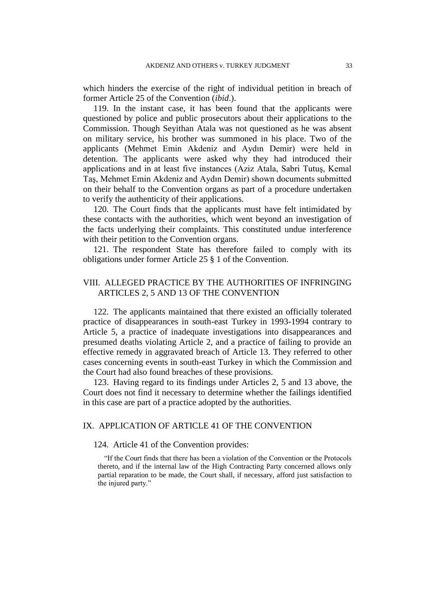which hinders the exercise of the right of individual petition in breach of former Article 25 of the Convention (*ibid*.).

119. In the instant case, it has been found that the applicants were questioned by police and public prosecutors about their applications to the Commission. Though Seyithan Atala was not questioned as he was absent on military service, his brother was summoned in his place. Two of the applicants (Mehmet Emin Akdeniz and Aydın Demir) were held in detention. The applicants were asked why they had introduced their applications and in at least five instances (Aziz Atala, Sabri Tutuş, Kemal Taş, Mehmet Emin Akdeniz and Aydın Demir) shown documents submitted on their behalf to the Convention organs as part of a procedure undertaken to verify the authenticity of their applications.

120. The Court finds that the applicants must have felt intimidated by these contacts with the authorities, which went beyond an investigation of the facts underlying their complaints. This constituted undue interference with their petition to the Convention organs.

121. The respondent State has therefore failed to comply with its obligations under former Article 25 § 1 of the Convention.

### VIII. ALLEGED PRACTICE BY THE AUTHORITIES OF INFRINGING ARTICLES 2, 5 AND 13 OF THE CONVENTION

122. The applicants maintained that there existed an officially tolerated practice of disappearances in south-east Turkey in 1993-1994 contrary to Article 5, a practice of inadequate investigations into disappearances and presumed deaths violating Article 2, and a practice of failing to provide an effective remedy in aggravated breach of Article 13. They referred to other cases concerning events in south-east Turkey in which the Commission and the Court had also found breaches of these provisions.

123. Having regard to its findings under Articles 2, 5 and 13 above, the Court does not find it necessary to determine whether the failings identified in this case are part of a practice adopted by the authorities.

### IX. APPLICATION OF ARTICLE 41 OF THE CONVENTION

#### 124. Article 41 of the Convention provides:

"If the Court finds that there has been a violation of the Convention or the Protocols thereto, and if the internal law of the High Contracting Party concerned allows only partial reparation to be made, the Court shall, if necessary, afford just satisfaction to the injured party."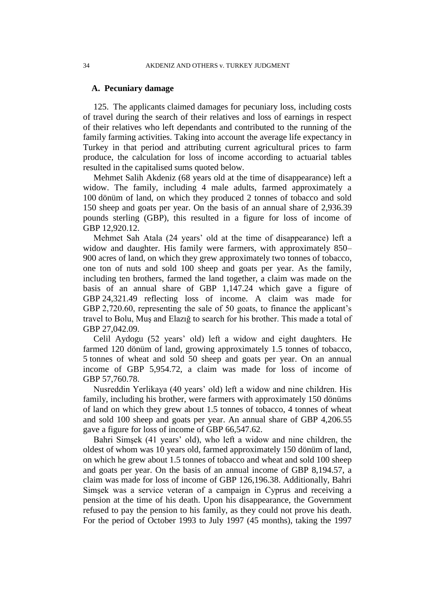#### **A. Pecuniary damage**

125. The applicants claimed damages for pecuniary loss, including costs of travel during the search of their relatives and loss of earnings in respect of their relatives who left dependants and contributed to the running of the family farming activities. Taking into account the average life expectancy in Turkey in that period and attributing current agricultural prices to farm produce, the calculation for loss of income according to actuarial tables resulted in the capitalised sums quoted below.

Mehmet Salih Akdeniz (68 years old at the time of disappearance) left a widow. The family, including 4 male adults, farmed approximately a 100 dönüm of land, on which they produced 2 tonnes of tobacco and sold 150 sheep and goats per year. On the basis of an annual share of 2,936.39 pounds sterling (GBP), this resulted in a figure for loss of income of GBP 12,920.12.

Mehmet Sah Atala (24 years' old at the time of disappearance) left a widow and daughter. His family were farmers, with approximately 850– 900 acres of land, on which they grew approximately two tonnes of tobacco, one ton of nuts and sold 100 sheep and goats per year. As the family, including ten brothers, farmed the land together, a claim was made on the basis of an annual share of GBP 1,147.24 which gave a figure of GBP 24,321.49 reflecting loss of income. A claim was made for GBP 2,720.60, representing the sale of 50 goats, to finance the applicant's travel to Bolu, Muş and Elazığ to search for his brother. This made a total of GBP 27,042.09.

Celil Aydogu (52 years' old) left a widow and eight daughters. He farmed 120 dönüm of land, growing approximately 1.5 tonnes of tobacco, 5 tonnes of wheat and sold 50 sheep and goats per year. On an annual income of GBP 5,954.72, a claim was made for loss of income of GBP 57,760.78.

Nusreddin Yerlikaya (40 years' old) left a widow and nine children. His family, including his brother, were farmers with approximately 150 dönüms of land on which they grew about 1.5 tonnes of tobacco, 4 tonnes of wheat and sold 100 sheep and goats per year. An annual share of GBP 4,206.55 gave a figure for loss of income of GBP 66,547.62.

Bahri Simşek (41 years' old), who left a widow and nine children, the oldest of whom was 10 years old, farmed approximately 150 dönüm of land, on which he grew about 1.5 tonnes of tobacco and wheat and sold 100 sheep and goats per year. On the basis of an annual income of GBP 8,194.57, a claim was made for loss of income of GBP 126,196.38. Additionally, Bahri Simşek was a service veteran of a campaign in Cyprus and receiving a pension at the time of his death. Upon his disappearance, the Government refused to pay the pension to his family, as they could not prove his death. For the period of October 1993 to July 1997 (45 months), taking the 1997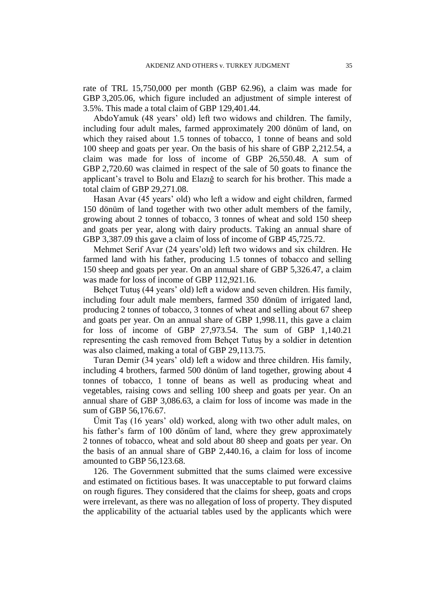rate of TRL 15,750,000 per month (GBP 62.96), a claim was made for GBP 3,205.06, which figure included an adjustment of simple interest of 3.5%. This made a total claim of GBP 129,401.44.

AbdoYamuk (48 years' old) left two widows and children. The family, including four adult males, farmed approximately 200 dönüm of land, on which they raised about 1.5 tonnes of tobacco, 1 tonne of beans and sold 100 sheep and goats per year. On the basis of his share of GBP 2,212.54, a claim was made for loss of income of GBP 26,550.48. A sum of GBP 2,720.60 was claimed in respect of the sale of 50 goats to finance the applicant's travel to Bolu and Elazığ to search for his brother. This made a total claim of GBP 29,271.08.

Hasan Avar (45 years' old) who left a widow and eight children, farmed 150 dönüm of land together with two other adult members of the family, growing about 2 tonnes of tobacco, 3 tonnes of wheat and sold 150 sheep and goats per year, along with dairy products. Taking an annual share of GBP 3,387.09 this gave a claim of loss of income of GBP 45,725.72.

Mehmet Serif Avar (24 years'old) left two widows and six children. He farmed land with his father, producing 1.5 tonnes of tobacco and selling 150 sheep and goats per year. On an annual share of GBP 5,326.47, a claim was made for loss of income of GBP 112,921.16.

Behçet Tutuş (44 years' old) left a widow and seven children. His family, including four adult male members, farmed 350 dönüm of irrigated land, producing 2 tonnes of tobacco, 3 tonnes of wheat and selling about 67 sheep and goats per year. On an annual share of GBP 1,998.11, this gave a claim for loss of income of GBP 27,973.54. The sum of GBP 1,140.21 representing the cash removed from Behçet Tutuş by a soldier in detention was also claimed, making a total of GBP 29,113.75.

Turan Demir (34 years' old) left a widow and three children. His family, including 4 brothers, farmed 500 dönüm of land together, growing about 4 tonnes of tobacco, 1 tonne of beans as well as producing wheat and vegetables, raising cows and selling 100 sheep and goats per year. On an annual share of GBP 3,086.63, a claim for loss of income was made in the sum of GBP 56,176.67.

Ümit Taş (16 years' old) worked, along with two other adult males, on his father's farm of 100 dönüm of land, where they grew approximately 2 tonnes of tobacco, wheat and sold about 80 sheep and goats per year. On the basis of an annual share of GBP 2,440.16, a claim for loss of income amounted to GBP 56,123.68.

126. The Government submitted that the sums claimed were excessive and estimated on fictitious bases. It was unacceptable to put forward claims on rough figures. They considered that the claims for sheep, goats and crops were irrelevant, as there was no allegation of loss of property. They disputed the applicability of the actuarial tables used by the applicants which were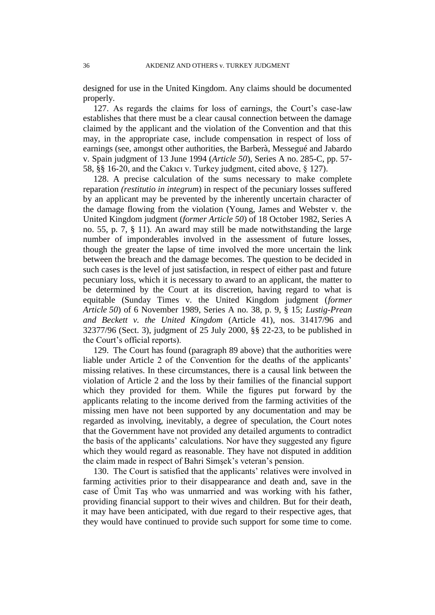designed for use in the United Kingdom. Any claims should be documented properly.

127. As regards the claims for loss of earnings, the Court's case-law establishes that there must be a clear causal connection between the damage claimed by the applicant and the violation of the Convention and that this may, in the appropriate case, include compensation in respect of loss of earnings (see, amongst other authorities, the Barberà, Messegué and Jabardo v. Spain judgment of 13 June 1994 (*Article 50*), Series A no. 285-C, pp. 57- 58, §§ 16-20, and the Cakıcı v. Turkey judgment, cited above, § 127).

128. A precise calculation of the sums necessary to make complete reparation *(restitutio in integrum*) in respect of the pecuniary losses suffered by an applicant may be prevented by the inherently uncertain character of the damage flowing from the violation (Young, James and Webster v. the United Kingdom judgment (*former Article 50*) of 18 October 1982, Series A no. 55, p. 7, § 11). An award may still be made notwithstanding the large number of imponderables involved in the assessment of future losses, though the greater the lapse of time involved the more uncertain the link between the breach and the damage becomes. The question to be decided in such cases is the level of just satisfaction, in respect of either past and future pecuniary loss, which it is necessary to award to an applicant, the matter to be determined by the Court at its discretion, having regard to what is equitable (Sunday Times v. the United Kingdom judgment (*former Article 50*) of 6 November 1989, Series A no. 38, p. 9, § 15; *Lustig-Prean and Beckett v. the United Kingdom* (Article 41), nos. 31417/96 and 32377/96 (Sect. 3), judgment of 25 July 2000, §§ 22-23, to be published in the Court's official reports).

129. The Court has found (paragraph 89 above) that the authorities were liable under Article 2 of the Convention for the deaths of the applicants' missing relatives. In these circumstances, there is a causal link between the violation of Article 2 and the loss by their families of the financial support which they provided for them. While the figures put forward by the applicants relating to the income derived from the farming activities of the missing men have not been supported by any documentation and may be regarded as involving, inevitably, a degree of speculation, the Court notes that the Government have not provided any detailed arguments to contradict the basis of the applicants' calculations. Nor have they suggested any figure which they would regard as reasonable. They have not disputed in addition the claim made in respect of Bahri Simşek's veteran's pension.

130. The Court is satisfied that the applicants' relatives were involved in farming activities prior to their disappearance and death and, save in the case of Ümit Taş who was unmarried and was working with his father, providing financial support to their wives and children. But for their death, it may have been anticipated, with due regard to their respective ages, that they would have continued to provide such support for some time to come.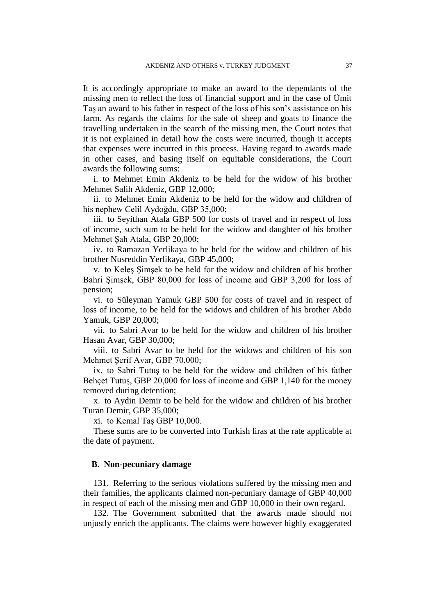It is accordingly appropriate to make an award to the dependants of the missing men to reflect the loss of financial support and in the case of Ümit Taş an award to his father in respect of the loss of his son's assistance on his farm. As regards the claims for the sale of sheep and goats to finance the travelling undertaken in the search of the missing men, the Court notes that it is not explained in detail how the costs were incurred, though it accepts that expenses were incurred in this process. Having regard to awards made in other cases, and basing itself on equitable considerations, the Court awards the following sums:

i. to Mehmet Emin Akdeniz to be held for the widow of his brother Mehmet Salih Akdeniz, GBP 12,000;

ii. to Mehmet Emin Akdeniz to be held for the widow and children of his nephew Celil Aydoğdu, GBP 35,000;

iii. to Seyithan Atala GBP 500 for costs of travel and in respect of loss of income, such sum to be held for the widow and daughter of his brother Mehmet Şah Atala, GBP 20,000;

iv. to Ramazan Yerlikaya to be held for the widow and children of his brother Nusreddin Yerlikaya, GBP 45,000;

v. to Keleş Şimşek to be held for the widow and children of his brother Bahri Şimşek, GBP 80,000 for loss of income and GBP 3,200 for loss of pension;

vi. to Süleyman Yamuk GBP 500 for costs of travel and in respect of loss of income, to be held for the widows and children of his brother Abdo Yamuk, GBP 20,000;

vii. to Sabri Avar to be held for the widow and children of his brother Hasan Avar, GBP 30,000;

viii. to Sabri Avar to be held for the widows and children of his son Mehmet Şerif Avar, GBP 70,000;

ix. to Sabri Tutuş to be held for the widow and children of his father Behçet Tutuş, GBP 20,000 for loss of income and GBP 1,140 for the money removed during detention;

x. to Aydin Demir to be held for the widow and children of his brother Turan Demir, GBP 35,000;

xi. to Kemal Taş GBP 10,000.

These sums are to be converted into Turkish liras at the rate applicable at the date of payment.

### **B. Non-pecuniary damage**

131. Referring to the serious violations suffered by the missing men and their families, the applicants claimed non-pecuniary damage of GBP 40,000 in respect of each of the missing men and GBP 10,000 in their own regard.

132. The Government submitted that the awards made should not unjustly enrich the applicants. The claims were however highly exaggerated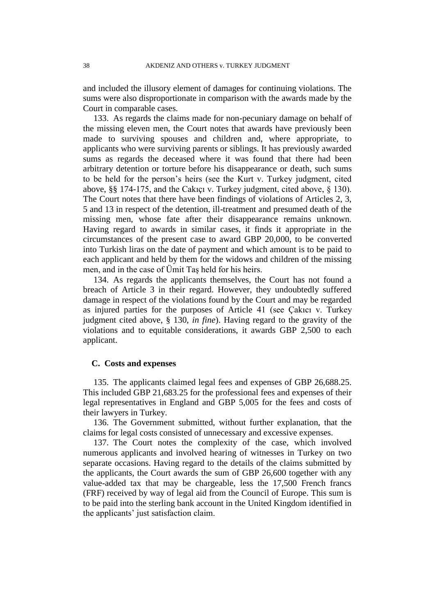and included the illusory element of damages for continuing violations. The sums were also disproportionate in comparison with the awards made by the Court in comparable cases.

133. As regards the claims made for non-pecuniary damage on behalf of the missing eleven men, the Court notes that awards have previously been made to surviving spouses and children and, where appropriate, to applicants who were surviving parents or siblings. It has previously awarded sums as regards the deceased where it was found that there had been arbitrary detention or torture before his disappearance or death, such sums to be held for the person's heirs (see the Kurt v. Turkey judgment, cited above, §§ 174-175, and the Cakıçı v. Turkey judgment, cited above, § 130). The Court notes that there have been findings of violations of Articles 2, 3, 5 and 13 in respect of the detention, ill-treatment and presumed death of the missing men, whose fate after their disappearance remains unknown. Having regard to awards in similar cases, it finds it appropriate in the circumstances of the present case to award GBP 20,000, to be converted into Turkish liras on the date of payment and which amount is to be paid to each applicant and held by them for the widows and children of the missing men, and in the case of Ümit Taş held for his heirs.

134. As regards the applicants themselves, the Court has not found a breach of Article 3 in their regard. However, they undoubtedly suffered damage in respect of the violations found by the Court and may be regarded as injured parties for the purposes of Article 41 (see Çakıcı v. Turkey judgment cited above, § 130, *in fine*). Having regard to the gravity of the violations and to equitable considerations, it awards GBP 2,500 to each applicant.

### **C. Costs and expenses**

135. The applicants claimed legal fees and expenses of GBP 26,688.25. This included GBP 21,683.25 for the professional fees and expenses of their legal representatives in England and GBP 5,005 for the fees and costs of their lawyers in Turkey.

136. The Government submitted, without further explanation, that the claims for legal costs consisted of unnecessary and excessive expenses.

137. The Court notes the complexity of the case, which involved numerous applicants and involved hearing of witnesses in Turkey on two separate occasions. Having regard to the details of the claims submitted by the applicants, the Court awards the sum of GBP 26,600 together with any value-added tax that may be chargeable, less the 17,500 French francs (FRF) received by way of legal aid from the Council of Europe. This sum is to be paid into the sterling bank account in the United Kingdom identified in the applicants' just satisfaction claim.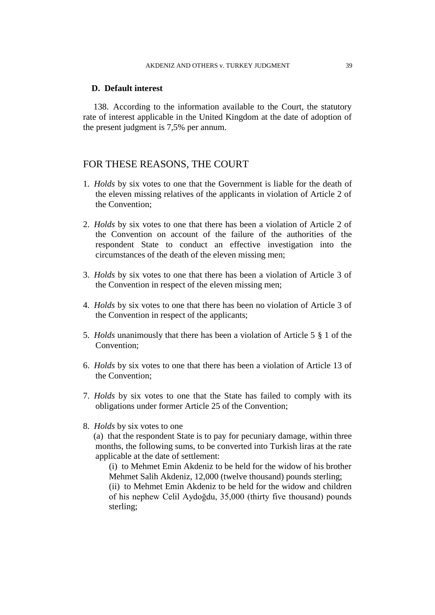#### **D. Default interest**

138. According to the information available to the Court, the statutory rate of interest applicable in the United Kingdom at the date of adoption of the present judgment is 7,5% per annum.

### FOR THESE REASONS, THE COURT

- 1. *Holds* by six votes to one that the Government is liable for the death of the eleven missing relatives of the applicants in violation of Article 2 of the Convention;
- 2. *Holds* by six votes to one that there has been a violation of Article 2 of the Convention on account of the failure of the authorities of the respondent State to conduct an effective investigation into the circumstances of the death of the eleven missing men;
- 3. *Holds* by six votes to one that there has been a violation of Article 3 of the Convention in respect of the eleven missing men;
- 4. *Holds* by six votes to one that there has been no violation of Article 3 of the Convention in respect of the applicants;
- 5. *Holds* unanimously that there has been a violation of Article 5 § 1 of the Convention;
- 6. *Holds* by six votes to one that there has been a violation of Article 13 of the Convention;
- 7. *Holds* by six votes to one that the State has failed to comply with its obligations under former Article 25 of the Convention;
- 8. *Holds* by six votes to one

(a) that the respondent State is to pay for pecuniary damage, within three months, the following sums, to be converted into Turkish liras at the rate applicable at the date of settlement:

(i) to Mehmet Emin Akdeniz to be held for the widow of his brother Mehmet Salih Akdeniz, 12,000 (twelve thousand) pounds sterling; (ii) to Mehmet Emin Akdeniz to be held for the widow and children of his nephew Celil Aydoğdu, 35,000 (thirty five thousand) pounds sterling;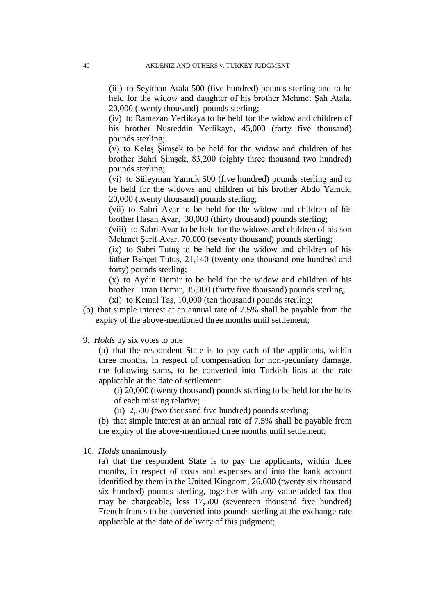(iii) to Seyithan Atala 500 (five hundred) pounds sterling and to be held for the widow and daughter of his brother Mehmet Şah Atala, 20,000 (twenty thousand) pounds sterling;

(iv) to Ramazan Yerlikaya to be held for the widow and children of his brother Nusreddin Yerlikaya, 45,000 (forty five thousand) pounds sterling;

(v) to Keleş Şimşek to be held for the widow and children of his brother Bahri Şimşek, 83,200 (eighty three thousand two hundred) pounds sterling;

(vi) to Süleyman Yamuk 500 (five hundred) pounds sterling and to be held for the widows and children of his brother Abdo Yamuk, 20,000 (twenty thousand) pounds sterling;

(vii) to Sabri Avar to be held for the widow and children of his brother Hasan Avar, 30,000 (thirty thousand) pounds sterling;

(viii) to Sabri Avar to be held for the widows and children of his son Mehmet Şerif Avar, 70,000 (seventy thousand) pounds sterling;

(ix) to Sabri Tutuş to be held for the widow and children of his father Behçet Tutuş, 21,140 (twenty one thousand one hundred and forty) pounds sterling;

(x) to Aydin Demir to be held for the widow and children of his brother Turan Demir, 35,000 (thirty five thousand) pounds sterling;

(xi) to Kemal Taş, 10,000 (ten thousand) pounds sterling;

(b) that simple interest at an annual rate of 7.5% shall be payable from the expiry of the above-mentioned three months until settlement;

#### 9. *Holds* by six votes to one

(a) that the respondent State is to pay each of the applicants, within three months, in respect of compensation for non-pecuniary damage, the following sums, to be converted into Turkish liras at the rate applicable at the date of settlement

(i) 20,000 (twenty thousand) pounds sterling to be held for the heirs of each missing relative;

(ii) 2,500 (two thousand five hundred) pounds sterling;

(b) that simple interest at an annual rate of 7.5% shall be payable from the expiry of the above-mentioned three months until settlement;

#### 10. *Holds* unanimously

(a) that the respondent State is to pay the applicants, within three months, in respect of costs and expenses and into the bank account identified by them in the United Kingdom, 26,600 (twenty six thousand six hundred) pounds sterling, together with any value-added tax that may be chargeable, less 17,500 (seventeen thousand five hundred) French francs to be converted into pounds sterling at the exchange rate applicable at the date of delivery of this judgment;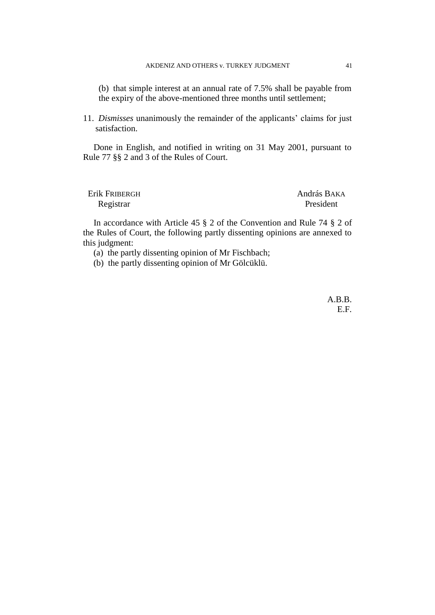(b) that simple interest at an annual rate of 7.5% shall be payable from the expiry of the above-mentioned three months until settlement;

11. *Dismisses* unanimously the remainder of the applicants' claims for just satisfaction.

Done in English, and notified in writing on 31 May 2001, pursuant to Rule 77 §§ 2 and 3 of the Rules of Court.

| Erik Fribergh | András BAKA |
|---------------|-------------|
| Registrar     | President   |

In accordance with Article 45 § 2 of the Convention and Rule 74 § 2 of the Rules of Court, the following partly dissenting opinions are annexed to this judgment:

(a) the partly dissenting opinion of Mr Fischbach;

(b) the partly dissenting opinion of Mr Gölcüklü.

A.B.B. E.F.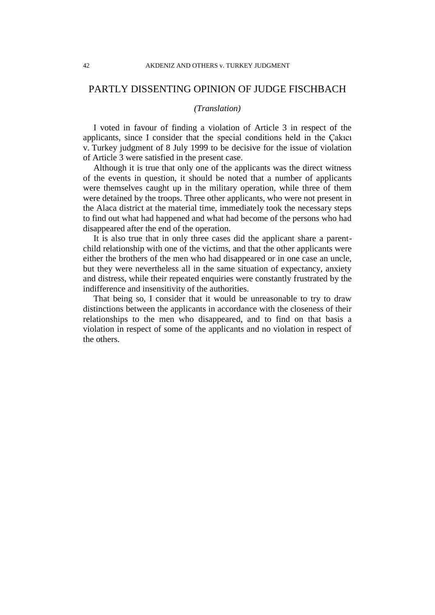### PARTLY DISSENTING OPINION OF JUDGE FISCHBACH

#### *(Translation)*

I voted in favour of finding a violation of Article 3 in respect of the applicants, since I consider that the special conditions held in the Çakıcı v. Turkey judgment of 8 July 1999 to be decisive for the issue of violation of Article 3 were satisfied in the present case.

Although it is true that only one of the applicants was the direct witness of the events in question, it should be noted that a number of applicants were themselves caught up in the military operation, while three of them were detained by the troops. Three other applicants, who were not present in the Alaca district at the material time, immediately took the necessary steps to find out what had happened and what had become of the persons who had disappeared after the end of the operation.

It is also true that in only three cases did the applicant share a parentchild relationship with one of the victims, and that the other applicants were either the brothers of the men who had disappeared or in one case an uncle, but they were nevertheless all in the same situation of expectancy, anxiety and distress, while their repeated enquiries were constantly frustrated by the indifference and insensitivity of the authorities.

That being so, I consider that it would be unreasonable to try to draw distinctions between the applicants in accordance with the closeness of their relationships to the men who disappeared, and to find on that basis a violation in respect of some of the applicants and no violation in respect of the others.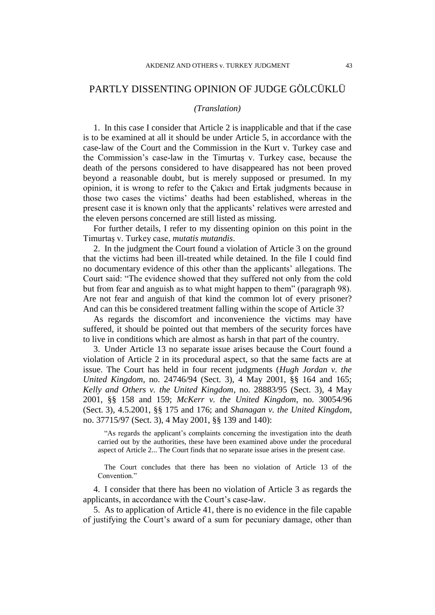### PARTLY DISSENTING OPINION OF JUDGE GÖLCÜKLÜ

#### *(Translation)*

1. In this case I consider that Article 2 is inapplicable and that if the case is to be examined at all it should be under Article 5, in accordance with the case-law of the Court and the Commission in the Kurt v. Turkey case and the Commission's case-law in the Timurtaş v. Turkey case, because the death of the persons considered to have disappeared has not been proved beyond a reasonable doubt, but is merely supposed or presumed. In my opinion, it is wrong to refer to the Çakıcı and Ertak judgments because in those two cases the victims' deaths had been established, whereas in the present case it is known only that the applicants' relatives were arrested and the eleven persons concerned are still listed as missing.

For further details, I refer to my dissenting opinion on this point in the Timurtaş v. Turkey case, *mutatis mutandis*.

2. In the judgment the Court found a violation of Article 3 on the ground that the victims had been ill-treated while detained. In the file I could find no documentary evidence of this other than the applicants' allegations. The Court said: "The evidence showed that they suffered not only from the cold but from fear and anguish as to what might happen to them" (paragraph 98). Are not fear and anguish of that kind the common lot of every prisoner? And can this be considered treatment falling within the scope of Article 3?

As regards the discomfort and inconvenience the victims may have suffered, it should be pointed out that members of the security forces have to live in conditions which are almost as harsh in that part of the country.

3. Under Article 13 no separate issue arises because the Court found a violation of Article 2 in its procedural aspect, so that the same facts are at issue. The Court has held in four recent judgments (*Hugh Jordan v. the United Kingdom*, no. 24746/94 (Sect. 3), 4 May 2001, §§ 164 and 165; *Kelly and Others v. the United Kingdom*, no. 28883/95 (Sect. 3), 4 May 2001, §§ 158 and 159; *McKerr v. the United Kingdom*, no. 30054/96 (Sect. 3), 4.5.2001, §§ 175 and 176; and *Shanagan v. the United Kingdom*, no. 37715/97 (Sect. 3), 4 May 2001, §§ 139 and 140):

"As regards the applicant's complaints concerning the investigation into the death carried out by the authorities, these have been examined above under the procedural aspect of Article 2... The Court finds that no separate issue arises in the present case.

The Court concludes that there has been no violation of Article 13 of the Convention."

4. I consider that there has been no violation of Article 3 as regards the applicants, in accordance with the Court's case-law.

5. As to application of Article 41, there is no evidence in the file capable of justifying the Court's award of a sum for pecuniary damage, other than